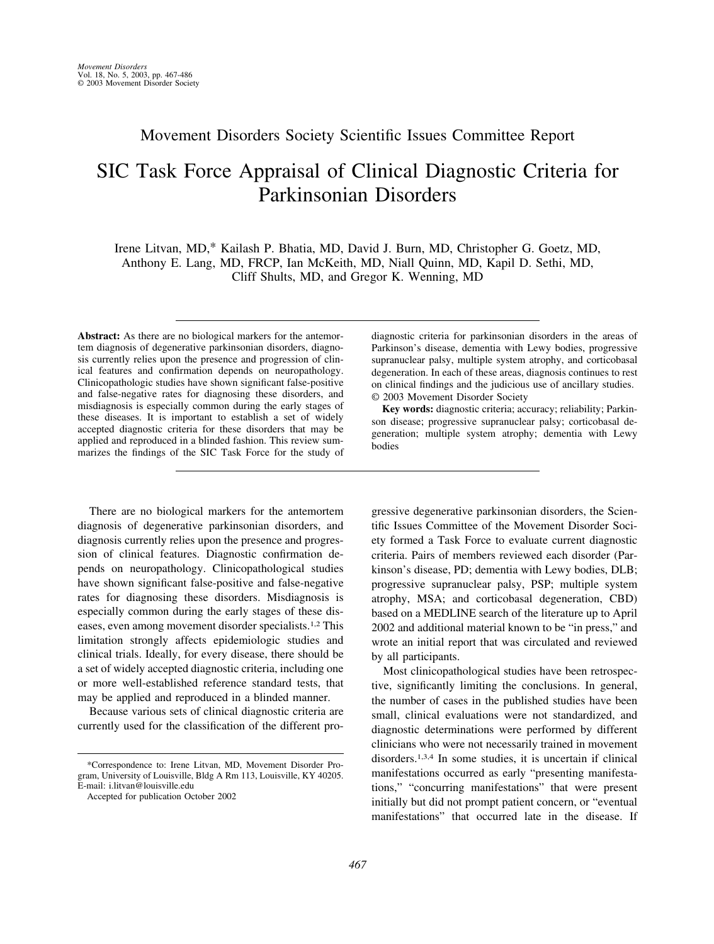## Movement Disorders Society Scientific Issues Committee Report

# SIC Task Force Appraisal of Clinical Diagnostic Criteria for Parkinsonian Disorders

Irene Litvan, MD,\* Kailash P. Bhatia, MD, David J. Burn, MD, Christopher G. Goetz, MD, Anthony E. Lang, MD, FRCP, Ian McKeith, MD, Niall Quinn, MD, Kapil D. Sethi, MD, Cliff Shults, MD, and Gregor K. Wenning, MD

**Abstract:** As there are no biological markers for the antemortem diagnosis of degenerative parkinsonian disorders, diagnosis currently relies upon the presence and progression of clinical features and confirmation depends on neuropathology. Clinicopathologic studies have shown significant false-positive and false-negative rates for diagnosing these disorders, and misdiagnosis is especially common during the early stages of these diseases. It is important to establish a set of widely accepted diagnostic criteria for these disorders that may be applied and reproduced in a blinded fashion. This review summarizes the findings of the SIC Task Force for the study of

There are no biological markers for the antemortem diagnosis of degenerative parkinsonian disorders, and diagnosis currently relies upon the presence and progression of clinical features. Diagnostic confirmation depends on neuropathology. Clinicopathological studies have shown significant false-positive and false-negative rates for diagnosing these disorders. Misdiagnosis is especially common during the early stages of these diseases, even among movement disorder specialists.1,2 This limitation strongly affects epidemiologic studies and clinical trials. Ideally, for every disease, there should be a set of widely accepted diagnostic criteria, including one or more well-established reference standard tests, that may be applied and reproduced in a blinded manner.

Because various sets of clinical diagnostic criteria are currently used for the classification of the different prodiagnostic criteria for parkinsonian disorders in the areas of Parkinson's disease, dementia with Lewy bodies, progressive supranuclear palsy, multiple system atrophy, and corticobasal degeneration. In each of these areas, diagnosis continues to rest on clinical findings and the judicious use of ancillary studies. © 2003 Movement Disorder Society

**Key words:** diagnostic criteria; accuracy; reliability; Parkinson disease; progressive supranuclear palsy; corticobasal degeneration; multiple system atrophy; dementia with Lewy bodies

gressive degenerative parkinsonian disorders, the Scientific Issues Committee of the Movement Disorder Society formed a Task Force to evaluate current diagnostic criteria. Pairs of members reviewed each disorder (Parkinson's disease, PD; dementia with Lewy bodies, DLB; progressive supranuclear palsy, PSP; multiple system atrophy, MSA; and corticobasal degeneration, CBD) based on a MEDLINE search of the literature up to April 2002 and additional material known to be "in press," and wrote an initial report that was circulated and reviewed by all participants.

Most clinicopathological studies have been retrospective, significantly limiting the conclusions. In general, the number of cases in the published studies have been small, clinical evaluations were not standardized, and diagnostic determinations were performed by different clinicians who were not necessarily trained in movement disorders.1,3,4 In some studies, it is uncertain if clinical manifestations occurred as early "presenting manifestations," "concurring manifestations" that were present initially but did not prompt patient concern, or "eventual manifestations" that occurred late in the disease. If

<sup>\*</sup>Correspondence to: Irene Litvan, MD, Movement Disorder Program, University of Louisville, Bldg A Rm 113, Louisville, KY 40205. E-mail: i.litvan@louisville.edu

Accepted for publication October 2002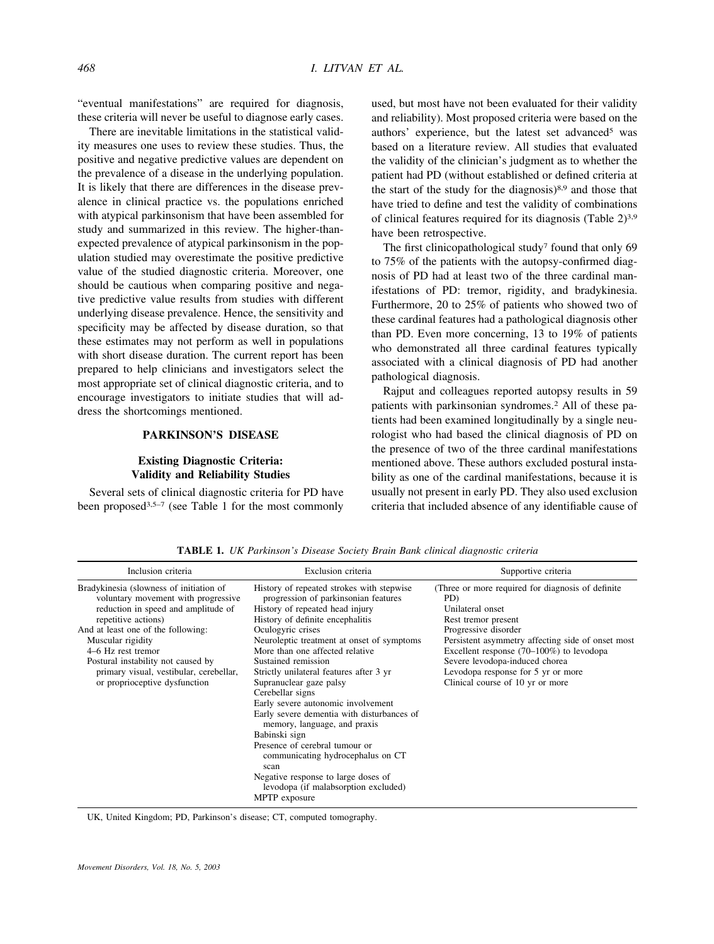"eventual manifestations" are required for diagnosis, these criteria will never be useful to diagnose early cases.

There are inevitable limitations in the statistical validity measures one uses to review these studies. Thus, the positive and negative predictive values are dependent on the prevalence of a disease in the underlying population. It is likely that there are differences in the disease prevalence in clinical practice vs. the populations enriched with atypical parkinsonism that have been assembled for study and summarized in this review. The higher-thanexpected prevalence of atypical parkinsonism in the population studied may overestimate the positive predictive value of the studied diagnostic criteria. Moreover, one should be cautious when comparing positive and negative predictive value results from studies with different underlying disease prevalence. Hence, the sensitivity and specificity may be affected by disease duration, so that these estimates may not perform as well in populations with short disease duration. The current report has been prepared to help clinicians and investigators select the most appropriate set of clinical diagnostic criteria, and to encourage investigators to initiate studies that will address the shortcomings mentioned.

## **PARKINSON'S DISEASE**

## **Existing Diagnostic Criteria: Validity and Reliability Studies**

Several sets of clinical diagnostic criteria for PD have been proposed3,5–7 (see Table 1 for the most commonly

used, but most have not been evaluated for their validity and reliability). Most proposed criteria were based on the authors' experience, but the latest set advanced<sup>5</sup> was based on a literature review. All studies that evaluated the validity of the clinician's judgment as to whether the patient had PD (without established or defined criteria at the start of the study for the diagnosis)<sup>8,9</sup> and those that have tried to define and test the validity of combinations of clinical features required for its diagnosis (Table 2)3,9 have been retrospective.

The first clinicopathological study<sup>7</sup> found that only 69 to 75% of the patients with the autopsy-confirmed diagnosis of PD had at least two of the three cardinal manifestations of PD: tremor, rigidity, and bradykinesia. Furthermore, 20 to 25% of patients who showed two of these cardinal features had a pathological diagnosis other than PD. Even more concerning, 13 to 19% of patients who demonstrated all three cardinal features typically associated with a clinical diagnosis of PD had another pathological diagnosis.

Rajput and colleagues reported autopsy results in 59 patients with parkinsonian syndromes.2 All of these patients had been examined longitudinally by a single neurologist who had based the clinical diagnosis of PD on the presence of two of the three cardinal manifestations mentioned above. These authors excluded postural instability as one of the cardinal manifestations, because it is usually not present in early PD. They also used exclusion criteria that included absence of any identifiable cause of

**TABLE 1.** *UK Parkinson's Disease Society Brain Bank clinical diagnostic criteria*

| Inclusion criteria                                                                                                                                                                                                                                                                                                                              | Exclusion criteria                                                                                                                                                                                                                                                                                                                                                                                                                                                                                                                                                                                                                                                                                  | Supportive criteria                                                                                                                                                                                                                                                                                                                          |
|-------------------------------------------------------------------------------------------------------------------------------------------------------------------------------------------------------------------------------------------------------------------------------------------------------------------------------------------------|-----------------------------------------------------------------------------------------------------------------------------------------------------------------------------------------------------------------------------------------------------------------------------------------------------------------------------------------------------------------------------------------------------------------------------------------------------------------------------------------------------------------------------------------------------------------------------------------------------------------------------------------------------------------------------------------------------|----------------------------------------------------------------------------------------------------------------------------------------------------------------------------------------------------------------------------------------------------------------------------------------------------------------------------------------------|
| Bradykinesia (slowness of initiation of<br>voluntary movement with progressive<br>reduction in speed and amplitude of<br>repetitive actions)<br>And at least one of the following:<br>Muscular rigidity<br>4–6 Hz rest tremor<br>Postural instability not caused by<br>primary visual, vestibular, cerebellar,<br>or proprioceptive dysfunction | History of repeated strokes with stepwise<br>progression of parkinsonian features<br>History of repeated head injury<br>History of definite encephalitis<br>Oculogyric crises<br>Neuroleptic treatment at onset of symptoms<br>More than one affected relative<br>Sustained remission<br>Strictly unilateral features after 3 yr<br>Supranuclear gaze palsy<br>Cerebellar signs<br>Early severe autonomic involvement<br>Early severe dementia with disturbances of<br>memory, language, and praxis<br>Babinski sign<br>Presence of cerebral tumour or<br>communicating hydrocephalus on CT<br>scan<br>Negative response to large doses of<br>levodopa (if malabsorption excluded)<br>MPTP exposure | (Three or more required for diagnosis of definite)<br>PD)<br>Unilateral onset<br>Rest tremor present<br>Progressive disorder<br>Persistent asymmetry affecting side of onset most<br>Excellent response $(70-100\%)$ to levodopa<br>Severe levodopa-induced chorea<br>Levodopa response for 5 yr or more<br>Clinical course of 10 yr or more |

UK, United Kingdom; PD, Parkinson's disease; CT, computed tomography.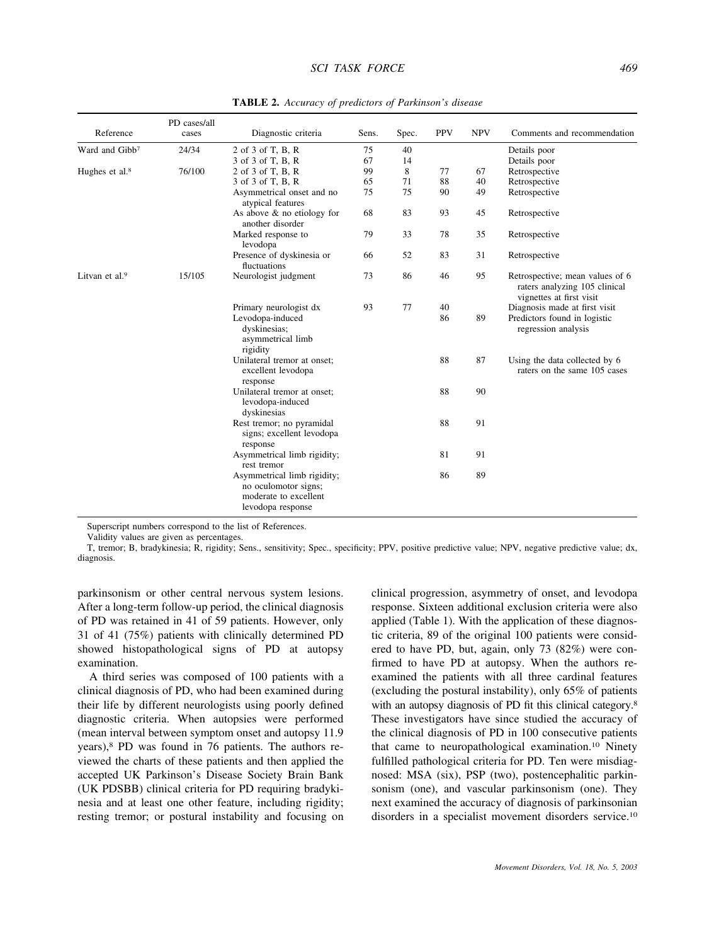| Reference                  | PD cases/all<br>cases | Diagnostic criteria                                                                               | Sens. | Spec. | <b>PPV</b> | <b>NPV</b> | Comments and recommendation                                                                  |
|----------------------------|-----------------------|---------------------------------------------------------------------------------------------------|-------|-------|------------|------------|----------------------------------------------------------------------------------------------|
| Ward and Gibb7             | 24/34                 | 2 of 3 of T, B, R                                                                                 | 75    | 40    |            |            | Details poor                                                                                 |
|                            |                       | 3 of 3 of T, B, R                                                                                 | 67    | 14    |            |            | Details poor                                                                                 |
| Hughes et al. <sup>8</sup> | 76/100                | 2 of 3 of T, B, R                                                                                 | 99    | 8     | 77         | 67         | Retrospective                                                                                |
|                            |                       | 3 of 3 of T, B, R                                                                                 | 65    | 71    | 88         | 40         | Retrospective                                                                                |
|                            |                       | Asymmetrical onset and no<br>atypical features                                                    | 75    | 75    | 90         | 49         | Retrospective                                                                                |
|                            |                       | As above & no etiology for<br>another disorder                                                    | 68    | 83    | 93         | 45         | Retrospective                                                                                |
|                            |                       | Marked response to<br>levodopa                                                                    | 79    | 33    | 78         | 35         | Retrospective                                                                                |
|                            |                       | Presence of dyskinesia or<br>fluctuations                                                         | 66    | 52    | 83         | 31         | Retrospective                                                                                |
| Litvan et al. <sup>9</sup> | 15/105                | Neurologist judgment                                                                              | 73    | 86    | 46         | 95         | Retrospective; mean values of 6<br>raters analyzing 105 clinical<br>vignettes at first visit |
|                            |                       | Primary neurologist dx                                                                            | 93    | 77    | 40         |            | Diagnosis made at first visit                                                                |
|                            |                       | Levodopa-induced<br>dyskinesias;<br>asymmetrical limb<br>rigidity                                 |       |       | 86         | 89         | Predictors found in logistic<br>regression analysis                                          |
|                            |                       | Unilateral tremor at onset;<br>excellent levodopa<br>response                                     |       |       | 88         | 87         | Using the data collected by 6<br>raters on the same 105 cases                                |
|                            |                       | Unilateral tremor at onset;<br>levodopa-induced<br>dyskinesias                                    |       |       | 88         | 90         |                                                                                              |
|                            |                       | Rest tremor; no pyramidal<br>signs; excellent levodopa<br>response                                |       |       | 88         | 91         |                                                                                              |
|                            |                       | Asymmetrical limb rigidity;<br>rest tremor                                                        |       |       | 81         | 91         |                                                                                              |
|                            |                       | Asymmetrical limb rigidity;<br>no oculomotor signs;<br>moderate to excellent<br>levodopa response |       |       | 86         | 89         |                                                                                              |

**TABLE 2.** *Accuracy of predictors of Parkinson's disease*

Superscript numbers correspond to the list of References.

Validity values are given as percentages.

T, tremor; B, bradykinesia; R, rigidity; Sens., sensitivity; Spec., specificity; PPV, positive predictive value; NPV, negative predictive value; dx, diagnosis.

parkinsonism or other central nervous system lesions. After a long-term follow-up period, the clinical diagnosis of PD was retained in 41 of 59 patients. However, only 31 of 41 (75%) patients with clinically determined PD showed histopathological signs of PD at autopsy examination.

A third series was composed of 100 patients with a clinical diagnosis of PD, who had been examined during their life by different neurologists using poorly defined diagnostic criteria. When autopsies were performed (mean interval between symptom onset and autopsy 11.9 years),8 PD was found in 76 patients. The authors reviewed the charts of these patients and then applied the accepted UK Parkinson's Disease Society Brain Bank (UK PDSBB) clinical criteria for PD requiring bradykinesia and at least one other feature, including rigidity; resting tremor; or postural instability and focusing on

clinical progression, asymmetry of onset, and levodopa response. Sixteen additional exclusion criteria were also applied (Table 1). With the application of these diagnostic criteria, 89 of the original 100 patients were considered to have PD, but, again, only 73 (82%) were confirmed to have PD at autopsy. When the authors reexamined the patients with all three cardinal features (excluding the postural instability), only 65% of patients with an autopsy diagnosis of PD fit this clinical category.<sup>8</sup> These investigators have since studied the accuracy of the clinical diagnosis of PD in 100 consecutive patients that came to neuropathological examination.10 Ninety fulfilled pathological criteria for PD. Ten were misdiagnosed: MSA (six), PSP (two), postencephalitic parkinsonism (one), and vascular parkinsonism (one). They next examined the accuracy of diagnosis of parkinsonian disorders in a specialist movement disorders service.10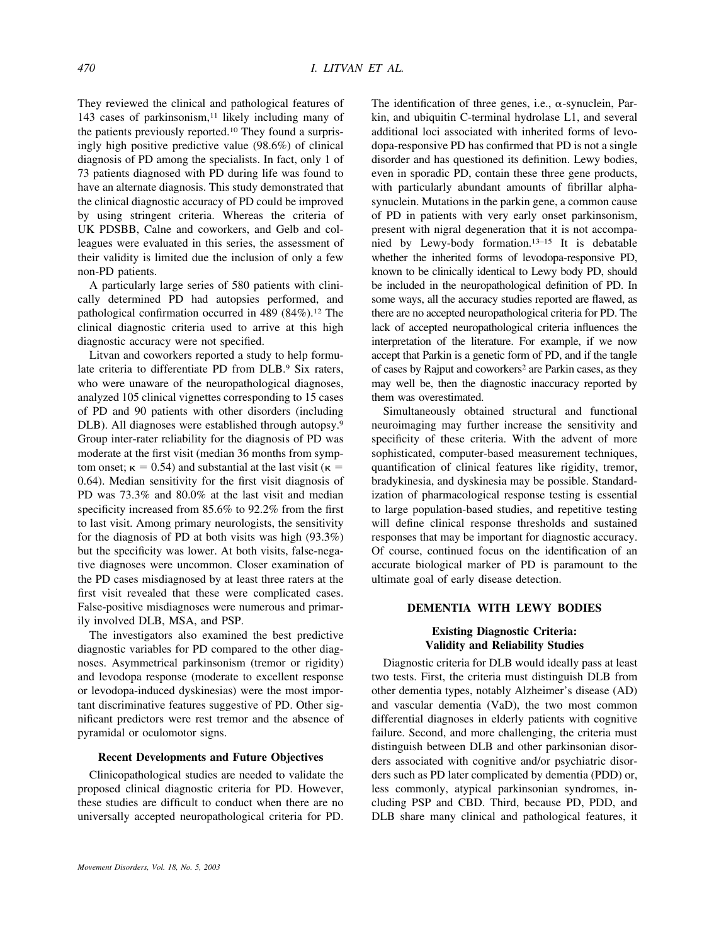They reviewed the clinical and pathological features of 143 cases of parkinsonism,<sup>11</sup> likely including many of the patients previously reported.10 They found a surprisingly high positive predictive value (98.6%) of clinical diagnosis of PD among the specialists. In fact, only 1 of 73 patients diagnosed with PD during life was found to have an alternate diagnosis. This study demonstrated that the clinical diagnostic accuracy of PD could be improved by using stringent criteria. Whereas the criteria of UK PDSBB, Calne and coworkers, and Gelb and colleagues were evaluated in this series, the assessment of their validity is limited due the inclusion of only a few non-PD patients.

A particularly large series of 580 patients with clinically determined PD had autopsies performed, and pathological confirmation occurred in 489 (84%).<sup>12</sup> The clinical diagnostic criteria used to arrive at this high diagnostic accuracy were not specified.

Litvan and coworkers reported a study to help formulate criteria to differentiate PD from DLB.9 Six raters, who were unaware of the neuropathological diagnoses, analyzed 105 clinical vignettes corresponding to 15 cases of PD and 90 patients with other disorders (including DLB). All diagnoses were established through autopsy.9 Group inter-rater reliability for the diagnosis of PD was moderate at the first visit (median 36 months from symptom onset;  $\kappa = 0.54$ ) and substantial at the last visit ( $\kappa =$ 0.64). Median sensitivity for the first visit diagnosis of PD was 73.3% and 80.0% at the last visit and median specificity increased from 85.6% to 92.2% from the first to last visit. Among primary neurologists, the sensitivity for the diagnosis of PD at both visits was high (93.3%) but the specificity was lower. At both visits, false-negative diagnoses were uncommon. Closer examination of the PD cases misdiagnosed by at least three raters at the first visit revealed that these were complicated cases. False-positive misdiagnoses were numerous and primarily involved DLB, MSA, and PSP.

The investigators also examined the best predictive diagnostic variables for PD compared to the other diagnoses. Asymmetrical parkinsonism (tremor or rigidity) and levodopa response (moderate to excellent response or levodopa-induced dyskinesias) were the most important discriminative features suggestive of PD. Other significant predictors were rest tremor and the absence of pyramidal or oculomotor signs.

#### **Recent Developments and Future Objectives**

Clinicopathological studies are needed to validate the proposed clinical diagnostic criteria for PD. However, these studies are difficult to conduct when there are no universally accepted neuropathological criteria for PD.

The identification of three genes, i.e.,  $\alpha$ -synuclein, Parkin, and ubiquitin C-terminal hydrolase L1, and several additional loci associated with inherited forms of levodopa-responsive PD has confirmed that PD is not a single disorder and has questioned its definition. Lewy bodies, even in sporadic PD, contain these three gene products, with particularly abundant amounts of fibrillar alphasynuclein. Mutations in the parkin gene, a common cause of PD in patients with very early onset parkinsonism, present with nigral degeneration that it is not accompanied by Lewy-body formation.13–15 It is debatable whether the inherited forms of levodopa-responsive PD, known to be clinically identical to Lewy body PD, should be included in the neuropathological definition of PD. In some ways, all the accuracy studies reported are flawed, as there are no accepted neuropathological criteria for PD. The lack of accepted neuropathological criteria influences the interpretation of the literature. For example, if we now accept that Parkin is a genetic form of PD, and if the tangle of cases by Rajput and coworkers<sup>2</sup> are Parkin cases, as they may well be, then the diagnostic inaccuracy reported by them was overestimated.

Simultaneously obtained structural and functional neuroimaging may further increase the sensitivity and specificity of these criteria. With the advent of more sophisticated, computer-based measurement techniques, quantification of clinical features like rigidity, tremor, bradykinesia, and dyskinesia may be possible. Standardization of pharmacological response testing is essential to large population-based studies, and repetitive testing will define clinical response thresholds and sustained responses that may be important for diagnostic accuracy. Of course, continued focus on the identification of an accurate biological marker of PD is paramount to the ultimate goal of early disease detection.

#### **DEMENTIA WITH LEWY BODIES**

## **Existing Diagnostic Criteria: Validity and Reliability Studies**

Diagnostic criteria for DLB would ideally pass at least two tests. First, the criteria must distinguish DLB from other dementia types, notably Alzheimer's disease (AD) and vascular dementia (VaD), the two most common differential diagnoses in elderly patients with cognitive failure. Second, and more challenging, the criteria must distinguish between DLB and other parkinsonian disorders associated with cognitive and/or psychiatric disorders such as PD later complicated by dementia (PDD) or, less commonly, atypical parkinsonian syndromes, including PSP and CBD. Third, because PD, PDD, and DLB share many clinical and pathological features, it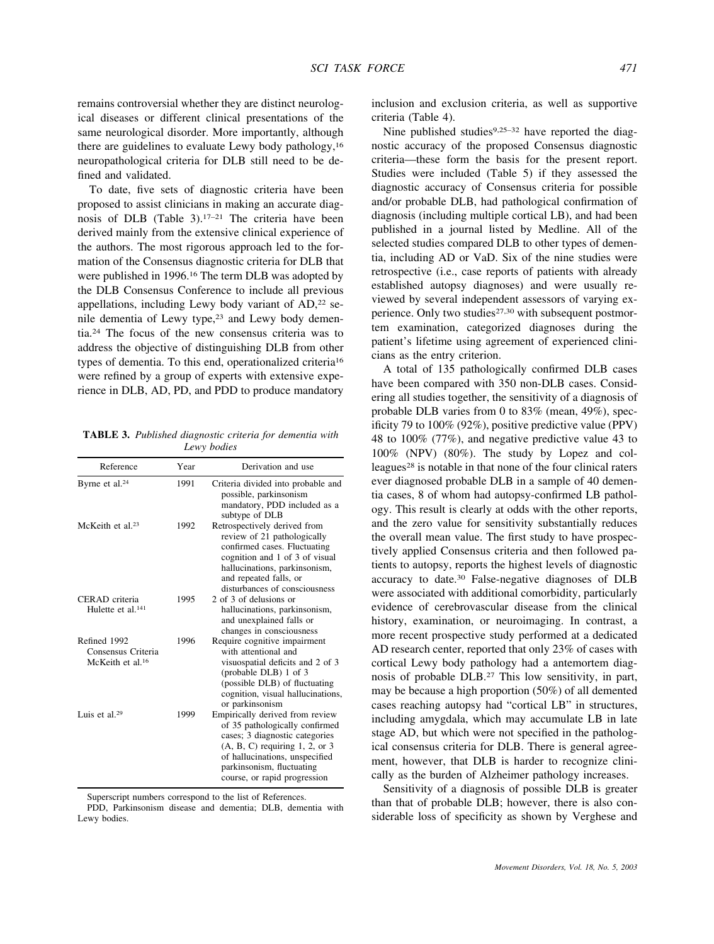remains controversial whether they are distinct neurological diseases or different clinical presentations of the same neurological disorder. More importantly, although there are guidelines to evaluate Lewy body pathology,<sup>16</sup> neuropathological criteria for DLB still need to be defined and validated.

To date, five sets of diagnostic criteria have been proposed to assist clinicians in making an accurate diagnosis of DLB (Table 3).17–21 The criteria have been derived mainly from the extensive clinical experience of the authors. The most rigorous approach led to the formation of the Consensus diagnostic criteria for DLB that were published in 1996.16 The term DLB was adopted by the DLB Consensus Conference to include all previous appellations, including Lewy body variant of AD,<sup>22</sup> senile dementia of Lewy type,<sup>23</sup> and Lewy body dementia.24 The focus of the new consensus criteria was to address the objective of distinguishing DLB from other types of dementia. To this end, operationalized criteria<sup>16</sup> were refined by a group of experts with extensive experience in DLB, AD, PD, and PDD to produce mandatory

| <b>TABLE 3.</b> Published diagnostic criteria for dementia with |  |
|-----------------------------------------------------------------|--|
| Lewy bodies                                                     |  |

| Reference                                                          | Year | Derivation and use                                                                                                                                                                                                                     |
|--------------------------------------------------------------------|------|----------------------------------------------------------------------------------------------------------------------------------------------------------------------------------------------------------------------------------------|
| Byrne et al. <sup>24</sup>                                         | 1991 | Criteria divided into probable and<br>possible, parkinsonism<br>mandatory, PDD included as a<br>subtype of DLB                                                                                                                         |
| McKeith et al. <sup>23</sup>                                       | 1992 | Retrospectively derived from<br>review of 21 pathologically<br>confirmed cases. Fluctuating<br>cognition and 1 of 3 of visual<br>hallucinations, parkinsonism,<br>and repeated falls, or<br>disturbances of consciousness              |
| CERAD criteria<br>Hulette et al. <sup>141</sup>                    | 1995 | 2 of 3 of delusions or<br>hallucinations, parkinsonism,<br>and unexplained falls or<br>changes in consciousness                                                                                                                        |
| Refined 1992<br>Consensus Criteria<br>McKeith et al. <sup>16</sup> | 1996 | Require cognitive impairment<br>with attentional and<br>visuospatial deficits and 2 of 3<br>(probable DLB) 1 of 3<br>(possible DLB) of fluctuating<br>cognition, visual hallucinations,<br>or parkinsonism                             |
| Luis et al. <sup>29</sup>                                          | 1999 | Empirically derived from review<br>of 35 pathologically confirmed<br>cases; 3 diagnostic categories<br>$(A, B, C)$ requiring 1, 2, or 3<br>of hallucinations, unspecified<br>parkinsonism, fluctuating<br>course, or rapid progression |

Superscript numbers correspond to the list of References.

PDD, Parkinsonism disease and dementia; DLB, dementia with Lewy bodies.

inclusion and exclusion criteria, as well as supportive criteria (Table 4).

Nine published studies $9,25-32$  have reported the diagnostic accuracy of the proposed Consensus diagnostic criteria—these form the basis for the present report. Studies were included (Table 5) if they assessed the diagnostic accuracy of Consensus criteria for possible and/or probable DLB, had pathological confirmation of diagnosis (including multiple cortical LB), and had been published in a journal listed by Medline. All of the selected studies compared DLB to other types of dementia, including AD or VaD. Six of the nine studies were retrospective (i.e., case reports of patients with already established autopsy diagnoses) and were usually reviewed by several independent assessors of varying experience. Only two studies<sup>27,30</sup> with subsequent postmortem examination, categorized diagnoses during the patient's lifetime using agreement of experienced clinicians as the entry criterion.

A total of 135 pathologically confirmed DLB cases have been compared with 350 non-DLB cases. Considering all studies together, the sensitivity of a diagnosis of probable DLB varies from 0 to 83% (mean, 49%), specificity 79 to 100% (92%), positive predictive value (PPV) 48 to 100% (77%), and negative predictive value 43 to 100% (NPV) (80%). The study by Lopez and colleagues28 is notable in that none of the four clinical raters ever diagnosed probable DLB in a sample of 40 dementia cases, 8 of whom had autopsy-confirmed LB pathology. This result is clearly at odds with the other reports, and the zero value for sensitivity substantially reduces the overall mean value. The first study to have prospectively applied Consensus criteria and then followed patients to autopsy, reports the highest levels of diagnostic accuracy to date.30 False-negative diagnoses of DLB were associated with additional comorbidity, particularly evidence of cerebrovascular disease from the clinical history, examination, or neuroimaging. In contrast, a more recent prospective study performed at a dedicated AD research center, reported that only 23% of cases with cortical Lewy body pathology had a antemortem diagnosis of probable DLB.27 This low sensitivity, in part, may be because a high proportion (50%) of all demented cases reaching autopsy had "cortical LB" in structures, including amygdala, which may accumulate LB in late stage AD, but which were not specified in the pathological consensus criteria for DLB. There is general agreement, however, that DLB is harder to recognize clinically as the burden of Alzheimer pathology increases.

Sensitivity of a diagnosis of possible DLB is greater than that of probable DLB; however, there is also considerable loss of specificity as shown by Verghese and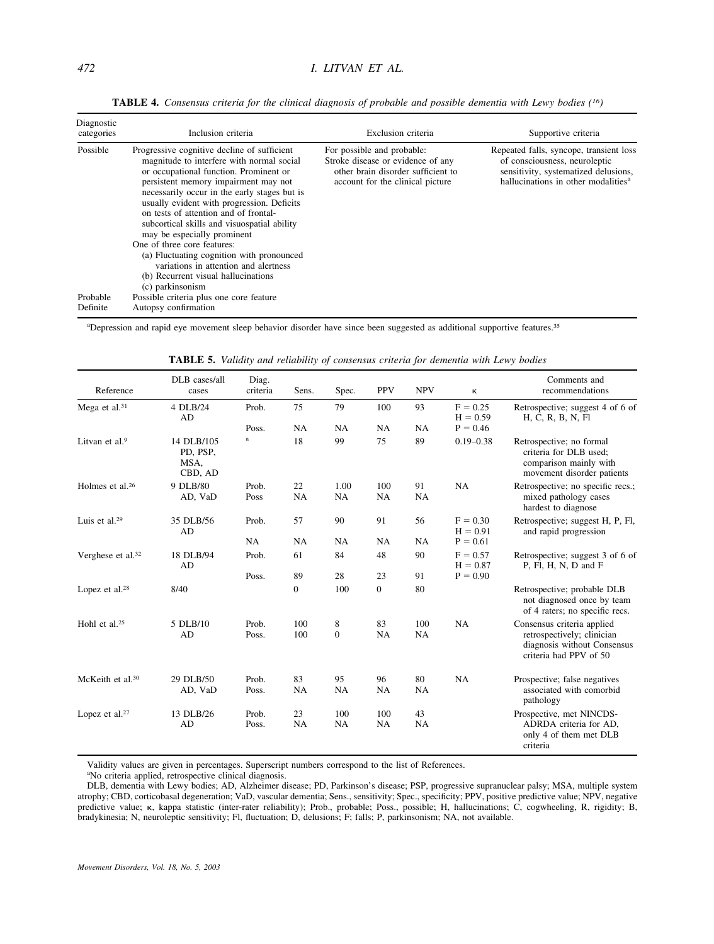|                      |                                                                                                                                                                                                                                                                                                                                                                                                                                                                                                                                                                                 |                                                                                                                                           | Supportive criteria                                                                                                                                                 |
|----------------------|---------------------------------------------------------------------------------------------------------------------------------------------------------------------------------------------------------------------------------------------------------------------------------------------------------------------------------------------------------------------------------------------------------------------------------------------------------------------------------------------------------------------------------------------------------------------------------|-------------------------------------------------------------------------------------------------------------------------------------------|---------------------------------------------------------------------------------------------------------------------------------------------------------------------|
| Possible             | Progressive cognitive decline of sufficient<br>magnitude to interfere with normal social<br>or occupational function. Prominent or<br>persistent memory impairment may not<br>necessarily occur in the early stages but is<br>usually evident with progression. Deficits<br>on tests of attention and of frontal-<br>subcortical skills and visuospatial ability<br>may be especially prominent<br>One of three core features:<br>(a) Fluctuating cognition with pronounced<br>variations in attention and alertness<br>(b) Recurrent visual hallucinations<br>(c) parkinsonism | For possible and probable:<br>Stroke disease or evidence of any<br>other brain disorder sufficient to<br>account for the clinical picture | Repeated falls, syncope, transient loss<br>of consciousness, neuroleptic<br>sensitivity, systematized delusions,<br>hallucinations in other modalities <sup>a</sup> |
| Probable<br>Definite | Possible criteria plus one core feature<br>Autopsy confirmation                                                                                                                                                                                                                                                                                                                                                                                                                                                                                                                 |                                                                                                                                           |                                                                                                                                                                     |

**TABLE 4.** *Consensus criteria for the clinical diagnosis of probable and possible dementia with Lewy bodies (16)*

<sup>a</sup>Depression and rapid eye movement sleep behavior disorder have since been suggested as additional supportive features.<sup>35</sup>

| Reference                     | DLB cases/all<br>cases                    | Diag.<br>criteria  | Sens.           | Spec.             | <b>PPV</b>         | <b>NPV</b> | к                                      | Comments and<br>recommendations                                                                                   |
|-------------------------------|-------------------------------------------|--------------------|-----------------|-------------------|--------------------|------------|----------------------------------------|-------------------------------------------------------------------------------------------------------------------|
| Mega et al. <sup>31</sup>     | 4 DLB/24<br>AD                            | Prob.              | 75              | 79                | 100                | 93         | $F = 0.25$<br>$H = 0.59$               | Retrospective; suggest 4 of 6 of<br>H, C, R, B, N, Fl                                                             |
| Litvan et al. <sup>9</sup>    | 14 DLB/105<br>PD, PSP,<br>MSA,<br>CBD, AD | Poss.<br>a         | <b>NA</b><br>18 | NA<br>99          | NA<br>75           | NA<br>89   | $P = 0.46$<br>$0.19 - 0.38$            | Retrospective; no formal<br>criteria for DLB used:<br>comparison mainly with<br>movement disorder patients        |
| Holmes et al. <sup>26</sup>   | 9 DLB/80<br>AD, VaD                       | Prob.<br>Poss      | 22<br><b>NA</b> | 1.00<br>NA        | 100<br>NA          | 91<br>NA   | NA                                     | Retrospective; no specific recs.;<br>mixed pathology cases<br>hardest to diagnose                                 |
| Luis et al. <sup>29</sup>     | 35 DLB/56<br>AD                           | Prob.<br><b>NA</b> | 57<br>NA        | 90<br>NA          | 91<br>NA           | 56<br>NA   | $F = 0.30$<br>$H = 0.91$<br>$P = 0.61$ | Retrospective; suggest H, P, Fl,<br>and rapid progression                                                         |
| Verghese et al. <sup>32</sup> | 18 DLB/94<br>AD                           | Prob.              | 61              | 84                | 48                 | 90         | $F = 0.57$<br>$H = 0.87$               | Retrospective; suggest 3 of 6 of<br>$P$ , Fl, H, N, D and F                                                       |
| Lopez et al. <sup>28</sup>    | 8/40                                      | Poss.              | 89<br>$\Omega$  | 28<br>100         | 23<br>$\mathbf{0}$ | 91<br>80   | $P = 0.90$                             | Retrospective; probable DLB<br>not diagnosed once by team<br>of 4 raters; no specific recs.                       |
| Hohl et al. $25$              | 5 DLB/10<br>AD                            | Prob.<br>Poss.     | 100<br>100      | 8<br>$\mathbf{0}$ | 83<br><b>NA</b>    | 100<br>NA  | <b>NA</b>                              | Consensus criteria applied<br>retrospectively; clinician<br>diagnosis without Consensus<br>criteria had PPV of 50 |
| McKeith et al. <sup>30</sup>  | 29 DLB/50<br>AD, VaD                      | Prob.<br>Poss.     | 83<br><b>NA</b> | 95<br>NA          | 96<br>NA           | 80<br>NA   | <b>NA</b>                              | Prospective; false negatives<br>associated with comorbid<br>pathology                                             |
| Lopez et al. <sup>27</sup>    | 13 DLB/26<br>AD                           | Prob.<br>Poss.     | 23<br><b>NA</b> | 100<br>NA         | 100<br>NA          | 43<br>NA   |                                        | Prospective, met NINCDS-<br>ADRDA criteria for AD,<br>only 4 of them met DLB<br>criteria                          |

**TABLE 5.** *Validity and reliability of consensus criteria for dementia with Lewy bodies*

Validity values are given in percentages. Superscript numbers correspond to the list of References.

DLB, dementia with Lewy bodies; AD, Alzheimer disease; PD, Parkinson's disease; PSP, progressive supranuclear palsy; MSA, multiple system atrophy; CBD, corticobasal degeneration; VaD, vascular dementia; Sens., sensitivity; Spec., specificity; PPV, positive predictive value; NPV, negative predictive value; k, kappa statistic (inter-rater reliability); Prob., probable; Poss., possible; H, hallucinations; C, cogwheeling, R, rigidity; B, bradykinesia; N, neuroleptic sensitivity; Fl, fluctuation; D, delusions; F; falls; P, parkinsonism; NA, not available.

<sup>&</sup>lt;sup>a</sup>No criteria applied, retrospective clinical diagnosis.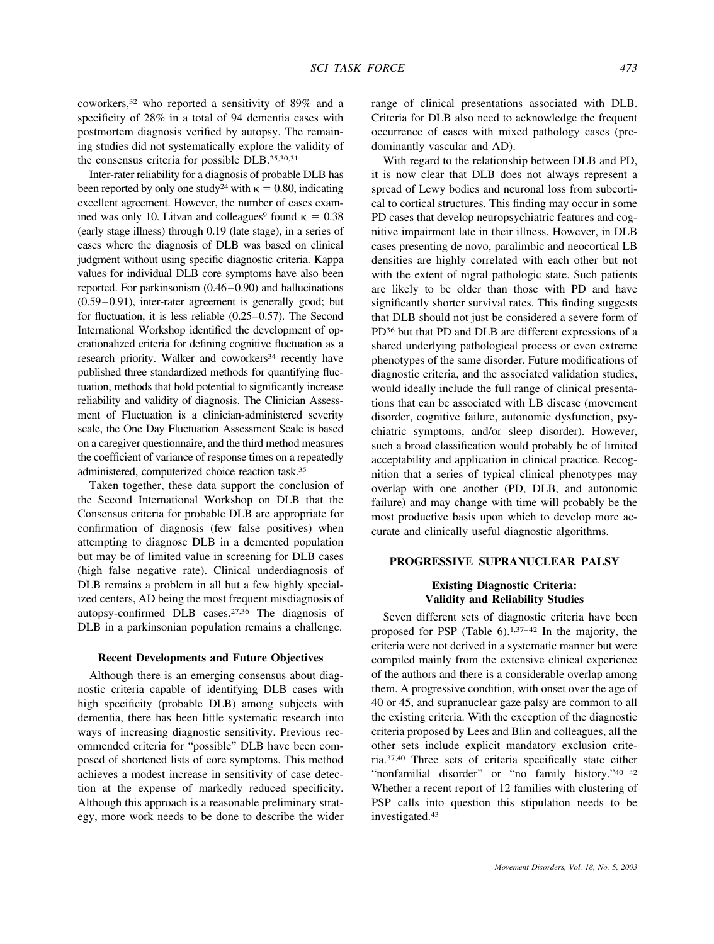coworkers,32 who reported a sensitivity of 89% and a specificity of 28% in a total of 94 dementia cases with postmortem diagnosis verified by autopsy. The remaining studies did not systematically explore the validity of the consensus criteria for possible DLB.25,30,31

Inter-rater reliability for a diagnosis of probable DLB has been reported by only one study<sup>24</sup> with  $\kappa = 0.80$ , indicating excellent agreement. However, the number of cases examined was only 10. Litvan and colleagues<sup>9</sup> found  $\kappa = 0.38$ (early stage illness) through 0.19 (late stage), in a series of cases where the diagnosis of DLB was based on clinical judgment without using specific diagnostic criteria. Kappa values for individual DLB core symptoms have also been reported. For parkinsonism  $(0.46 - 0.90)$  and hallucinations  $(0.59 - 0.91)$ , inter-rater agreement is generally good; but for fluctuation, it is less reliable  $(0.25-0.57)$ . The Second International Workshop identified the development of operationalized criteria for defining cognitive fluctuation as a research priority. Walker and coworkers<sup>34</sup> recently have published three standardized methods for quantifying fluctuation, methods that hold potential to significantly increase reliability and validity of diagnosis. The Clinician Assessment of Fluctuation is a clinician-administered severity scale, the One Day Fluctuation Assessment Scale is based on a caregiver questionnaire, and the third method measures the coefficient of variance of response times on a repeatedly administered, computerized choice reaction task.35

Taken together, these data support the conclusion of the Second International Workshop on DLB that the Consensus criteria for probable DLB are appropriate for confirmation of diagnosis (few false positives) when attempting to diagnose DLB in a demented population but may be of limited value in screening for DLB cases (high false negative rate). Clinical underdiagnosis of DLB remains a problem in all but a few highly specialized centers, AD being the most frequent misdiagnosis of autopsy-confirmed DLB cases. $27,36$  The diagnosis of DLB in a parkinsonian population remains a challenge.

#### **Recent Developments and Future Objectives**

Although there is an emerging consensus about diagnostic criteria capable of identifying DLB cases with high specificity (probable DLB) among subjects with dementia, there has been little systematic research into ways of increasing diagnostic sensitivity. Previous recommended criteria for "possible" DLB have been composed of shortened lists of core symptoms. This method achieves a modest increase in sensitivity of case detection at the expense of markedly reduced specificity. Although this approach is a reasonable preliminary strategy, more work needs to be done to describe the wider range of clinical presentations associated with DLB. Criteria for DLB also need to acknowledge the frequent occurrence of cases with mixed pathology cases (predominantly vascular and AD).

With regard to the relationship between DLB and PD, it is now clear that DLB does not always represent a spread of Lewy bodies and neuronal loss from subcortical to cortical structures. This finding may occur in some PD cases that develop neuropsychiatric features and cognitive impairment late in their illness. However, in DLB cases presenting de novo, paralimbic and neocortical LB densities are highly correlated with each other but not with the extent of nigral pathologic state. Such patients are likely to be older than those with PD and have significantly shorter survival rates. This finding suggests that DLB should not just be considered a severe form of PD36 but that PD and DLB are different expressions of a shared underlying pathological process or even extreme phenotypes of the same disorder. Future modifications of diagnostic criteria, and the associated validation studies, would ideally include the full range of clinical presentations that can be associated with LB disease (movement disorder, cognitive failure, autonomic dysfunction, psychiatric symptoms, and/or sleep disorder). However, such a broad classification would probably be of limited acceptability and application in clinical practice. Recognition that a series of typical clinical phenotypes may overlap with one another (PD, DLB, and autonomic failure) and may change with time will probably be the most productive basis upon which to develop more accurate and clinically useful diagnostic algorithms.

#### **PROGRESSIVE SUPRANUCLEAR PALSY**

## **Existing Diagnostic Criteria: Validity and Reliability Studies**

Seven different sets of diagnostic criteria have been proposed for PSP (Table  $6$ ).<sup>1,37–42</sup> In the majority, the criteria were not derived in a systematic manner but were compiled mainly from the extensive clinical experience of the authors and there is a considerable overlap among them. A progressive condition, with onset over the age of 40 or 45, and supranuclear gaze palsy are common to all the existing criteria. With the exception of the diagnostic criteria proposed by Lees and Blin and colleagues, all the other sets include explicit mandatory exclusion criteria.37,40 Three sets of criteria specifically state either "nonfamilial disorder" or "no family history."40-42 Whether a recent report of 12 families with clustering of PSP calls into question this stipulation needs to be investigated.43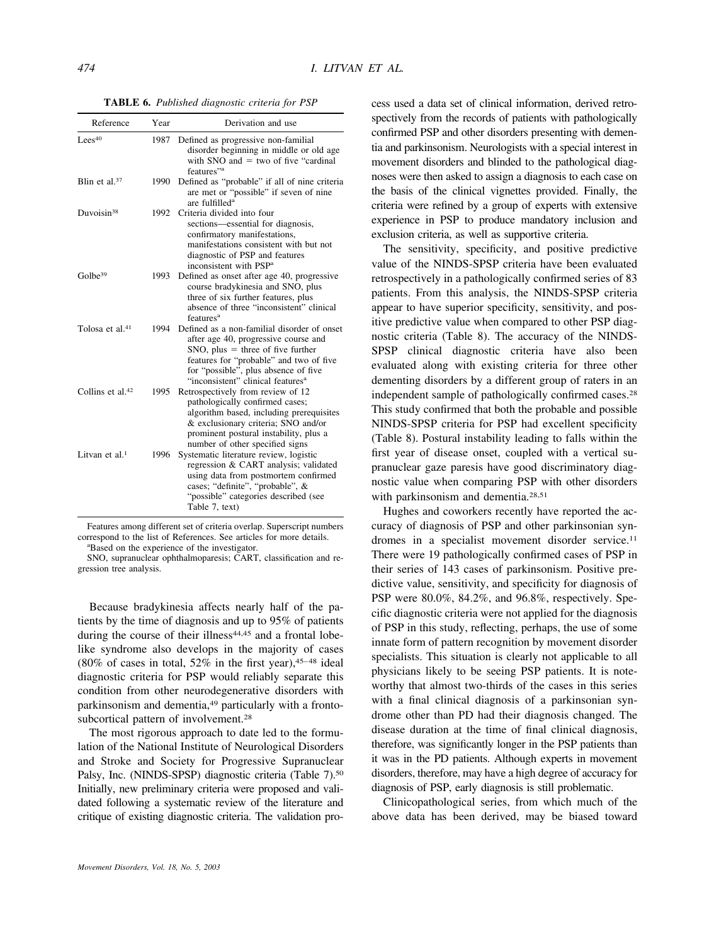**TABLE 6.** *Published diagnostic criteria for PSP*

| Reference                    | Year  | Derivation and use                                                                                                                                                                                                                                              |
|------------------------------|-------|-----------------------------------------------------------------------------------------------------------------------------------------------------------------------------------------------------------------------------------------------------------------|
| Lees <sup>40</sup>           | 1987  | Defined as progressive non-familial<br>disorder beginning in middle or old age<br>with SNO and $=$ two of five "cardinal"<br>features" <sup>a</sup>                                                                                                             |
| Blin et al. $37$             | 1990  | Defined as "probable" if all of nine criteria<br>are met or "possible" if seven of nine<br>are fulfilled <sup>a</sup>                                                                                                                                           |
| Duvoisin <sup>38</sup>       | 1992. | Criteria divided into four<br>sections—essential for diagnosis,<br>confirmatory manifestations,<br>manifestations consistent with but not<br>diagnostic of PSP and features<br>inconsistent with PSP <sup>a</sup>                                               |
| Golbe <sup>39</sup>          | 1993  | Defined as onset after age 40, progressive<br>course bradykinesia and SNO, plus<br>three of six further features, plus<br>absence of three "inconsistent" clinical<br>features <sup>a</sup>                                                                     |
| Tolosa et al. <sup>41</sup>  | 1994  | Defined as a non-familial disorder of onset<br>after age 40, progressive course and<br>$SNO$ , plus = three of five further<br>features for "probable" and two of five<br>for "possible", plus absence of five<br>"inconsistent" clinical features <sup>a</sup> |
| Collins et al. <sup>42</sup> | 1995  | Retrospectively from review of 12<br>pathologically confirmed cases;<br>algorithm based, including prerequisites<br>& exclusionary criteria; SNO and/or<br>prominent postural instability, plus a<br>number of other specified signs                            |
| Litvan et al. <sup>1</sup>   | 1996  | Systematic literature review, logistic<br>regression & CART analysis; validated<br>using data from postmortem confirmed<br>cases; "definite", "probable", &<br>"possible" categories described (see<br>Table 7, text)                                           |

Features among different set of criteria overlap. Superscript numbers correspond to the list of References. See articles for more details. <sup>a</sup>Based on the experience of the investigator.

SNO, supranuclear ophthalmoparesis; CART, classification and regression tree analysis.

Because bradykinesia affects nearly half of the patients by the time of diagnosis and up to 95% of patients during the course of their illness<sup>44,45</sup> and a frontal lobelike syndrome also develops in the majority of cases (80% of cases in total, 52% in the first year), $45-48$  ideal diagnostic criteria for PSP would reliably separate this condition from other neurodegenerative disorders with parkinsonism and dementia,<sup>49</sup> particularly with a frontosubcortical pattern of involvement.<sup>28</sup>

The most rigorous approach to date led to the formulation of the National Institute of Neurological Disorders and Stroke and Society for Progressive Supranuclear Palsy, Inc. (NINDS-SPSP) diagnostic criteria (Table 7).<sup>50</sup> Initially, new preliminary criteria were proposed and validated following a systematic review of the literature and critique of existing diagnostic criteria. The validation process used a data set of clinical information, derived retrospectively from the records of patients with pathologically confirmed PSP and other disorders presenting with dementia and parkinsonism. Neurologists with a special interest in movement disorders and blinded to the pathological diagnoses were then asked to assign a diagnosis to each case on the basis of the clinical vignettes provided. Finally, the criteria were refined by a group of experts with extensive experience in PSP to produce mandatory inclusion and exclusion criteria, as well as supportive criteria.

The sensitivity, specificity, and positive predictive value of the NINDS-SPSP criteria have been evaluated retrospectively in a pathologically confirmed series of 83 patients. From this analysis, the NINDS-SPSP criteria appear to have superior specificity, sensitivity, and positive predictive value when compared to other PSP diagnostic criteria (Table 8). The accuracy of the NINDS-SPSP clinical diagnostic criteria have also been evaluated along with existing criteria for three other dementing disorders by a different group of raters in an independent sample of pathologically confirmed cases.28 This study confirmed that both the probable and possible NINDS-SPSP criteria for PSP had excellent specificity (Table 8). Postural instability leading to falls within the first year of disease onset, coupled with a vertical supranuclear gaze paresis have good discriminatory diagnostic value when comparing PSP with other disorders with parkinsonism and dementia.<sup>28,51</sup>

Hughes and coworkers recently have reported the accuracy of diagnosis of PSP and other parkinsonian syndromes in a specialist movement disorder service.<sup>11</sup> There were 19 pathologically confirmed cases of PSP in their series of 143 cases of parkinsonism. Positive predictive value, sensitivity, and specificity for diagnosis of PSP were 80.0%, 84.2%, and 96.8%, respectively. Specific diagnostic criteria were not applied for the diagnosis of PSP in this study, reflecting, perhaps, the use of some innate form of pattern recognition by movement disorder specialists. This situation is clearly not applicable to all physicians likely to be seeing PSP patients. It is noteworthy that almost two-thirds of the cases in this series with a final clinical diagnosis of a parkinsonian syndrome other than PD had their diagnosis changed. The disease duration at the time of final clinical diagnosis, therefore, was significantly longer in the PSP patients than it was in the PD patients. Although experts in movement disorders, therefore, may have a high degree of accuracy for diagnosis of PSP, early diagnosis is still problematic.

Clinicopathological series, from which much of the above data has been derived, may be biased toward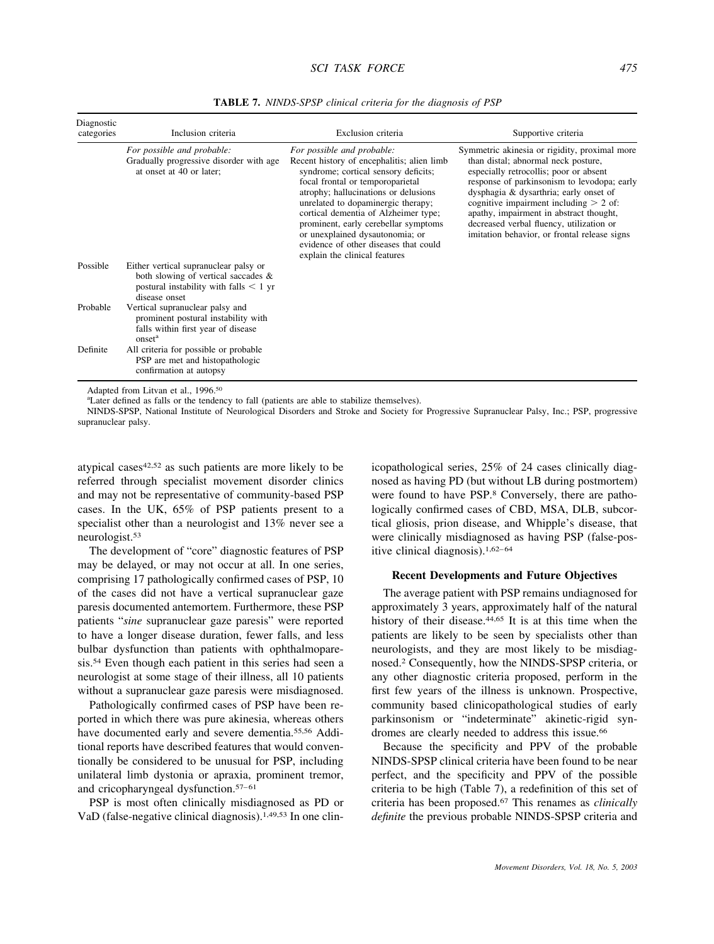#### *SCI TASK FORCE 475*

| Diagnostic<br>categories | Inclusion criteria                                                                                                                              | Exclusion criteria                                                                                                                                                                                                                                                                                                                                                                                                              | Supportive criteria                                                                                                                                                                                                                                                                                                                                                                                        |  |  |  |
|--------------------------|-------------------------------------------------------------------------------------------------------------------------------------------------|---------------------------------------------------------------------------------------------------------------------------------------------------------------------------------------------------------------------------------------------------------------------------------------------------------------------------------------------------------------------------------------------------------------------------------|------------------------------------------------------------------------------------------------------------------------------------------------------------------------------------------------------------------------------------------------------------------------------------------------------------------------------------------------------------------------------------------------------------|--|--|--|
|                          | For possible and probable:<br>Gradually progressive disorder with age<br>at onset at 40 or later;                                               | For possible and probable:<br>Recent history of encephalitis; alien limb<br>syndrome; cortical sensory deficits;<br>focal frontal or temporoparietal<br>atrophy; hallucinations or delusions<br>unrelated to dopaminergic therapy;<br>cortical dementia of Alzheimer type;<br>prominent, early cerebellar symptoms<br>or unexplained dysautonomia; or<br>evidence of other diseases that could<br>explain the clinical features | Symmetric akinesia or rigidity, proximal more<br>than distal; abnormal neck posture,<br>especially retrocollis; poor or absent<br>response of parkinsonism to levodopa; early<br>dysphagia & dysarthria; early onset of<br>cognitive impairment including $> 2$ of:<br>apathy, impairment in abstract thought,<br>decreased verbal fluency, utilization or<br>imitation behavior, or frontal release signs |  |  |  |
| Possible                 | Either vertical supranuclear palsy or<br>both slowing of vertical saccades $\&$<br>postural instability with falls $\leq 1$ yr<br>disease onset |                                                                                                                                                                                                                                                                                                                                                                                                                                 |                                                                                                                                                                                                                                                                                                                                                                                                            |  |  |  |
| Probable                 | Vertical supranuclear palsy and<br>prominent postural instability with<br>falls within first year of disease<br>onset <sup>a</sup>              |                                                                                                                                                                                                                                                                                                                                                                                                                                 |                                                                                                                                                                                                                                                                                                                                                                                                            |  |  |  |
| Definite                 | All criteria for possible or probable<br>PSP are met and histopathologic<br>confirmation at autopsy                                             |                                                                                                                                                                                                                                                                                                                                                                                                                                 |                                                                                                                                                                                                                                                                                                                                                                                                            |  |  |  |

**TABLE 7.** *NINDS-SPSP clinical criteria for the diagnosis of PSP*

Adapted from Litvan et al., 1996.50

<sup>a</sup>Later defined as falls or the tendency to fall (patients are able to stabilize themselves).

NINDS-SPSP, National Institute of Neurological Disorders and Stroke and Society for Progressive Supranuclear Palsy, Inc.; PSP, progressive supranuclear palsy.

atypical cases $42,52$  as such patients are more likely to be referred through specialist movement disorder clinics and may not be representative of community-based PSP cases. In the UK, 65% of PSP patients present to a specialist other than a neurologist and 13% never see a neurologist.53

The development of "core" diagnostic features of PSP may be delayed, or may not occur at all. In one series, comprising 17 pathologically confirmed cases of PSP, 10 of the cases did not have a vertical supranuclear gaze paresis documented antemortem. Furthermore, these PSP patients "*sine* supranuclear gaze paresis" were reported to have a longer disease duration, fewer falls, and less bulbar dysfunction than patients with ophthalmoparesis.54 Even though each patient in this series had seen a neurologist at some stage of their illness, all 10 patients without a supranuclear gaze paresis were misdiagnosed.

Pathologically confirmed cases of PSP have been reported in which there was pure akinesia, whereas others have documented early and severe dementia.55,56 Additional reports have described features that would conventionally be considered to be unusual for PSP, including unilateral limb dystonia or apraxia, prominent tremor, and cricopharyngeal dysfunction.<sup>57-61</sup>

PSP is most often clinically misdiagnosed as PD or VaD (false-negative clinical diagnosis).1,49,53 In one clinicopathological series, 25% of 24 cases clinically diagnosed as having PD (but without LB during postmortem) were found to have PSP.8 Conversely, there are pathologically confirmed cases of CBD, MSA, DLB, subcortical gliosis, prion disease, and Whipple's disease, that were clinically misdiagnosed as having PSP (false-positive clinical diagnosis).<sup>1,62-64</sup>

#### **Recent Developments and Future Objectives**

The average patient with PSP remains undiagnosed for approximately 3 years, approximately half of the natural history of their disease.<sup>44,65</sup> It is at this time when the patients are likely to be seen by specialists other than neurologists, and they are most likely to be misdiagnosed.2 Consequently, how the NINDS-SPSP criteria, or any other diagnostic criteria proposed, perform in the first few years of the illness is unknown. Prospective, community based clinicopathological studies of early parkinsonism or "indeterminate" akinetic-rigid syndromes are clearly needed to address this issue.<sup>66</sup>

Because the specificity and PPV of the probable NINDS-SPSP clinical criteria have been found to be near perfect, and the specificity and PPV of the possible criteria to be high (Table 7), a redefinition of this set of criteria has been proposed.67 This renames as *clinically definite* the previous probable NINDS-SPSP criteria and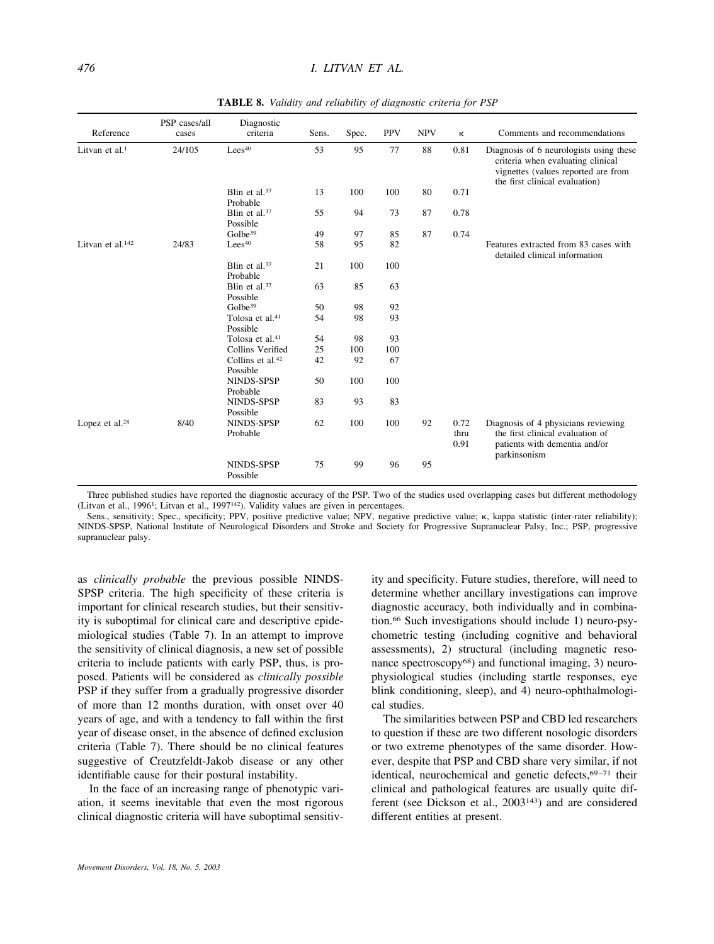| Reference                    | PSP cases/all<br>cases | Diagnostic<br>criteria                   | Sens. | Spec. | <b>PPV</b> | <b>NPV</b> | $\kappa$             | Comments and recommendations                                                                                                                          |
|------------------------------|------------------------|------------------------------------------|-------|-------|------------|------------|----------------------|-------------------------------------------------------------------------------------------------------------------------------------------------------|
| Litvan et al. $1$            | 24/105                 | $Lees^{40}$                              | 53    | 95    | 77         | 88         | 0.81                 | Diagnosis of 6 neurologists using these<br>criteria when evaluating clinical<br>vignettes (values reported are from<br>the first clinical evaluation) |
|                              |                        | Blin et al. <sup>37</sup><br>Probable    | 13    | 100   | 100        | 80         | 0.71                 |                                                                                                                                                       |
|                              |                        | Blin et al. $37$<br>Possible             | 55    | 94    | 73         | 87         | 0.78                 |                                                                                                                                                       |
|                              |                        | Golbe <sup>39</sup>                      | 49    | 97    | 85         | 87         | 0.74                 |                                                                                                                                                       |
| Litvan et al. <sup>142</sup> | 24/83                  | $Lees^{40}$                              | 58    | 95    | 82         |            |                      | Features extracted from 83 cases with<br>detailed clinical information                                                                                |
|                              |                        | Blin et al. $37$<br>Probable             | 21    | 100   | 100        |            |                      |                                                                                                                                                       |
|                              |                        | Blin et al. <sup>37</sup><br>Possible    | 63    | 85    | 63         |            |                      |                                                                                                                                                       |
|                              |                        | Golbe <sup>39</sup>                      | 50    | 98    | 92         |            |                      |                                                                                                                                                       |
|                              |                        | Tolosa et al. <sup>41</sup><br>Possible  | 54    | 98    | 93         |            |                      |                                                                                                                                                       |
|                              |                        | Tolosa et al. <sup>41</sup>              | 54    | 98    | 93         |            |                      |                                                                                                                                                       |
|                              |                        | Collins Verified                         | 25    | 100   | 100        |            |                      |                                                                                                                                                       |
|                              |                        | Collins et al. <sup>42</sup><br>Possible | 42    | 92    | 67         |            |                      |                                                                                                                                                       |
|                              |                        | NINDS-SPSP<br>Probable                   | 50    | 100   | 100        |            |                      |                                                                                                                                                       |
|                              |                        | NINDS-SPSP<br>Possible                   | 83    | 93    | 83         |            |                      |                                                                                                                                                       |
| Lopez et al. <sup>28</sup>   | 8/40                   | NINDS-SPSP<br>Probable                   | 62    | 100   | 100        | 92         | 0.72<br>thru<br>0.91 | Diagnosis of 4 physicians reviewing<br>the first clinical evaluation of<br>patients with dementia and/or<br>parkinsonism                              |
|                              |                        | NINDS-SPSP<br>Possible                   | 75    | 99    | 96         | 95         |                      |                                                                                                                                                       |

**TABLE 8.** *Validity and reliability of diagnostic criteria for PSP*

Three published studies have reported the diagnostic accuracy of the PSP. Two of the studies used overlapping cases but different methodology (Litvan et al., 19961; Litvan et al., 1997142). Validity values are given in percentages.

Sens., sensitivity; Spec., specificity; PPV, positive predictive value; NPV, negative predictive value;  $\kappa$ , kappa statistic (inter-rater reliability); NINDS-SPSP, National Institute of Neurological Disorders and Stroke and Society for Progressive Supranuclear Palsy, Inc.; PSP, progressive supranuclear palsy.

as *clinically probable* the previous possible NINDS-SPSP criteria. The high specificity of these criteria is important for clinical research studies, but their sensitivity is suboptimal for clinical care and descriptive epidemiological studies (Table 7). In an attempt to improve the sensitivity of clinical diagnosis, a new set of possible criteria to include patients with early PSP, thus, is proposed. Patients will be considered as *clinically possible* PSP if they suffer from a gradually progressive disorder of more than 12 months duration, with onset over 40 years of age, and with a tendency to fall within the first year of disease onset, in the absence of defined exclusion criteria (Table 7). There should be no clinical features suggestive of Creutzfeldt-Jakob disease or any other identifiable cause for their postural instability.

In the face of an increasing range of phenotypic variation, it seems inevitable that even the most rigorous clinical diagnostic criteria will have suboptimal sensitivity and specificity. Future studies, therefore, will need to determine whether ancillary investigations can improve diagnostic accuracy, both individually and in combination.66 Such investigations should include 1) neuro-psychometric testing (including cognitive and behavioral assessments), 2) structural (including magnetic resonance spectroscopy<sup>68</sup>) and functional imaging, 3) neurophysiological studies (including startle responses, eye blink conditioning, sleep), and 4) neuro-ophthalmological studies.

The similarities between PSP and CBD led researchers to question if these are two different nosologic disorders or two extreme phenotypes of the same disorder. However, despite that PSP and CBD share very similar, if not identical, neurochemical and genetic defects, <sup>69-71</sup> their clinical and pathological features are usually quite different (see Dickson et al., 2003143) and are considered different entities at present.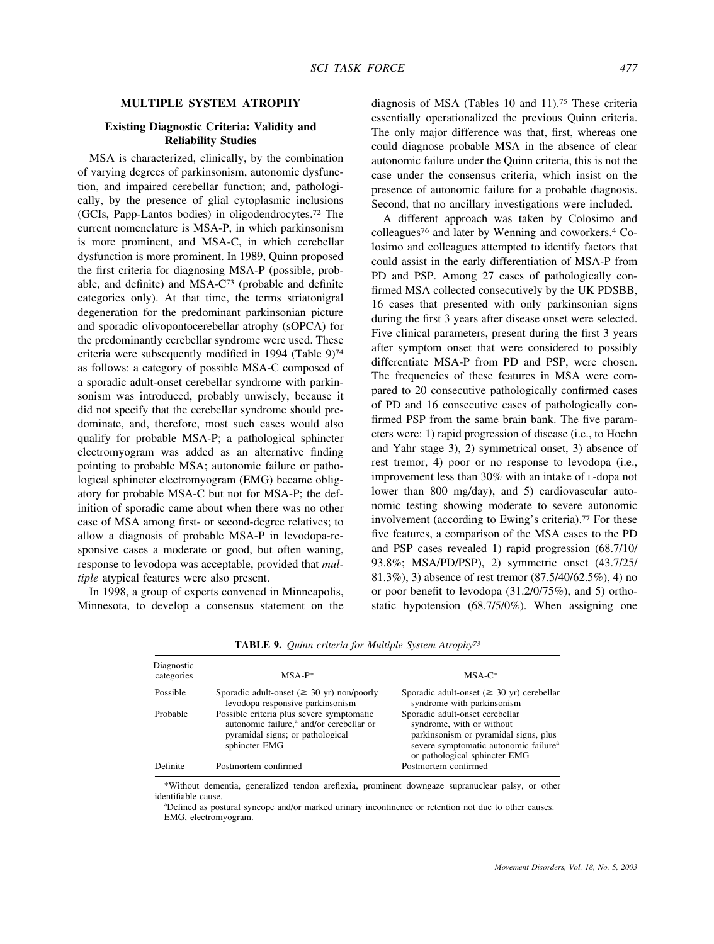#### **MULTIPLE SYSTEM ATROPHY**

### **Existing Diagnostic Criteria: Validity and Reliability Studies**

MSA is characterized, clinically, by the combination of varying degrees of parkinsonism, autonomic dysfunction, and impaired cerebellar function; and, pathologically, by the presence of glial cytoplasmic inclusions (GCIs, Papp-Lantos bodies) in oligodendrocytes.72 The current nomenclature is MSA-P, in which parkinsonism is more prominent, and MSA-C, in which cerebellar dysfunction is more prominent. In 1989, Quinn proposed the first criteria for diagnosing MSA-P (possible, probable, and definite) and MSA-C73 (probable and definite categories only). At that time, the terms striatonigral degeneration for the predominant parkinsonian picture and sporadic olivopontocerebellar atrophy (sOPCA) for the predominantly cerebellar syndrome were used. These criteria were subsequently modified in 1994 (Table 9)<sup>74</sup> as follows: a category of possible MSA-C composed of a sporadic adult-onset cerebellar syndrome with parkinsonism was introduced, probably unwisely, because it did not specify that the cerebellar syndrome should predominate, and, therefore, most such cases would also qualify for probable MSA-P; a pathological sphincter electromyogram was added as an alternative finding pointing to probable MSA; autonomic failure or pathological sphincter electromyogram (EMG) became obligatory for probable MSA-C but not for MSA-P; the definition of sporadic came about when there was no other case of MSA among first- or second-degree relatives; to allow a diagnosis of probable MSA-P in levodopa-responsive cases a moderate or good, but often waning, response to levodopa was acceptable, provided that *multiple* atypical features were also present.

In 1998, a group of experts convened in Minneapolis, Minnesota, to develop a consensus statement on the diagnosis of MSA (Tables 10 and 11).75 These criteria essentially operationalized the previous Quinn criteria. The only major difference was that, first, whereas one could diagnose probable MSA in the absence of clear autonomic failure under the Quinn criteria, this is not the case under the consensus criteria, which insist on the presence of autonomic failure for a probable diagnosis. Second, that no ancillary investigations were included.

A different approach was taken by Colosimo and colleagues76 and later by Wenning and coworkers.4 Colosimo and colleagues attempted to identify factors that could assist in the early differentiation of MSA-P from PD and PSP. Among 27 cases of pathologically confirmed MSA collected consecutively by the UK PDSBB, 16 cases that presented with only parkinsonian signs during the first 3 years after disease onset were selected. Five clinical parameters, present during the first 3 years after symptom onset that were considered to possibly differentiate MSA-P from PD and PSP, were chosen. The frequencies of these features in MSA were compared to 20 consecutive pathologically confirmed cases of PD and 16 consecutive cases of pathologically confirmed PSP from the same brain bank. The five parameters were: 1) rapid progression of disease (i.e., to Hoehn and Yahr stage 3), 2) symmetrical onset, 3) absence of rest tremor, 4) poor or no response to levodopa (i.e., improvement less than 30% with an intake of L-dopa not lower than 800 mg/day), and 5) cardiovascular autonomic testing showing moderate to severe autonomic involvement (according to Ewing's criteria).77 For these five features, a comparison of the MSA cases to the PD and PSP cases revealed 1) rapid progression (68.7/10/ 93.8%; MSA/PD/PSP), 2) symmetric onset (43.7/25/ 81.3%), 3) absence of rest tremor (87.5/40/62.5%), 4) no or poor benefit to levodopa (31.2/0/75%), and 5) orthostatic hypotension (68.7/5/0%). When assigning one

| Diagnostic<br>categories | $MSA-P^*$                                                                                                                                              | $MSA-C^*$                                                                                                                                                                                   |
|--------------------------|--------------------------------------------------------------------------------------------------------------------------------------------------------|---------------------------------------------------------------------------------------------------------------------------------------------------------------------------------------------|
| Possible                 | Sporadic adult-onset ( $\geq 30$ yr) non/poorly<br>levodopa responsive parkinsonism                                                                    | Sporadic adult-onset $(\geq 30 \text{ yr})$ cerebellar<br>syndrome with parkinsonism                                                                                                        |
| Probable                 | Possible criteria plus severe symptomatic<br>autonomic failure, <sup>a</sup> and/or cerebellar or<br>pyramidal signs; or pathological<br>sphincter EMG | Sporadic adult-onset cerebellar<br>syndrome, with or without<br>parkinsonism or pyramidal signs, plus<br>severe symptomatic autonomic failure <sup>a</sup><br>or pathological sphincter EMG |
| Definite                 | Postmortem confirmed                                                                                                                                   | Postmortem confirmed                                                                                                                                                                        |

**TABLE 9.** *Quinn criteria for Multiple System Atrophy73*

\*Without dementia, generalized tendon areflexia, prominent downgaze supranuclear palsy, or other identifiable cause.

<sup>a</sup>Defined as postural syncope and/or marked urinary incontinence or retention not due to other causes. EMG, electromyogram.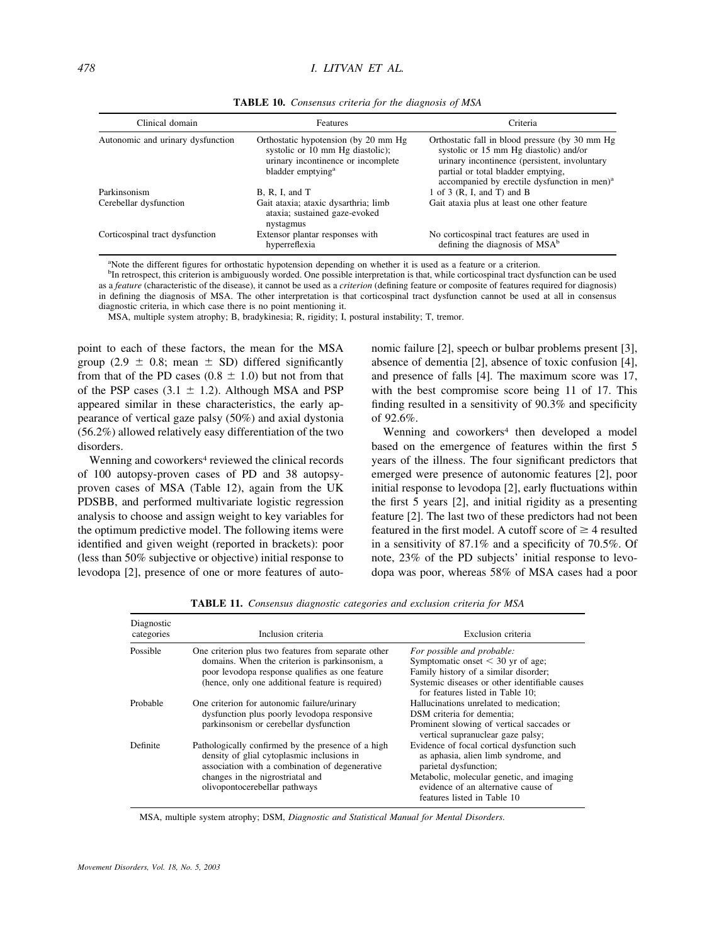| Clinical domain                   | Features                                                                                                                                         | Criteria                                                                                                                                                                                                                                      |
|-----------------------------------|--------------------------------------------------------------------------------------------------------------------------------------------------|-----------------------------------------------------------------------------------------------------------------------------------------------------------------------------------------------------------------------------------------------|
| Autonomic and urinary dysfunction | Orthostatic hypotension (by 20 mm Hg)<br>systolic or 10 mm Hg diastolic);<br>urinary incontinence or incomplete<br>bladder emptying <sup>a</sup> | Orthostatic fall in blood pressure (by 30 mm Hg)<br>systolic or 15 mm Hg diastolic) and/or<br>urinary incontinence (persistent, involuntary<br>partial or total bladder emptying,<br>accompanied by erectile dysfunction in men) <sup>a</sup> |
| Parkinsonism                      | B, R, I, and T                                                                                                                                   | 1 of 3 $(R, I, and T)$ and B                                                                                                                                                                                                                  |
| Cerebellar dysfunction            | Gait ataxia; ataxic dysarthria; limb<br>ataxia; sustained gaze-evoked<br>nystagmus                                                               | Gait ataxia plus at least one other feature                                                                                                                                                                                                   |
| Corticospinal tract dysfunction   | Extensor plantar responses with<br>hyperreflexia                                                                                                 | No corticospinal tract features are used in<br>defining the diagnosis of $MSAb$                                                                                                                                                               |

**TABLE 10.** *Consensus criteria for the diagnosis of MSA*

a Note the different figures for orthostatic hypotension depending on whether it is used as a feature or a criterion.

<sup>b</sup>In retrospect, this criterion is ambiguously worded. One possible interpretation is that, while corticospinal tract dysfunction can be used as a *feature* (characteristic of the disease), it cannot be used as a *criterion* (defining feature or composite of features required for diagnosis) in defining the diagnosis of MSA. The other interpretation is that corticospinal tract dysfunction cannot be used at all in consensus diagnostic criteria, in which case there is no point mentioning it.

MSA, multiple system atrophy; B, bradykinesia; R, rigidity; I, postural instability; T, tremor.

point to each of these factors, the mean for the MSA group (2.9  $\pm$  0.8; mean  $\pm$  SD) differed significantly from that of the PD cases ( $0.8 \pm 1.0$ ) but not from that of the PSP cases (3.1  $\pm$  1.2). Although MSA and PSP appeared similar in these characteristics, the early appearance of vertical gaze palsy (50%) and axial dystonia (56.2%) allowed relatively easy differentiation of the two disorders.

Wenning and coworkers<sup>4</sup> reviewed the clinical records of 100 autopsy-proven cases of PD and 38 autopsyproven cases of MSA (Table 12), again from the UK PDSBB, and performed multivariate logistic regression analysis to choose and assign weight to key variables for the optimum predictive model. The following items were identified and given weight (reported in brackets): poor (less than 50% subjective or objective) initial response to levodopa [2], presence of one or more features of autonomic failure [2], speech or bulbar problems present [3], absence of dementia [2], absence of toxic confusion [4], and presence of falls [4]. The maximum score was 17, with the best compromise score being 11 of 17. This finding resulted in a sensitivity of 90.3% and specificity of 92.6%.

Wenning and coworkers<sup>4</sup> then developed a model based on the emergence of features within the first 5 years of the illness. The four significant predictors that emerged were presence of autonomic features [2], poor initial response to levodopa [2], early fluctuations within the first 5 years [2], and initial rigidity as a presenting feature [2]. The last two of these predictors had not been featured in the first model. A cutoff score of  $\geq$  4 resulted in a sensitivity of 87.1% and a specificity of 70.5%. Of note, 23% of the PD subjects' initial response to levodopa was poor, whereas 58% of MSA cases had a poor

| Diagnostic<br>categories | Inclusion criteria                                                                                                                                 | Exclusion criteria                                                                                              |
|--------------------------|----------------------------------------------------------------------------------------------------------------------------------------------------|-----------------------------------------------------------------------------------------------------------------|
| Possible                 | One criterion plus two features from separate other                                                                                                | For possible and probable:                                                                                      |
|                          | domains. When the criterion is parkinsonism, a                                                                                                     | Symptomatic onset $\leq$ 30 yr of age;                                                                          |
|                          | poor levodopa response qualifies as one feature                                                                                                    | Family history of a similar disorder;                                                                           |
|                          | (hence, only one additional feature is required)                                                                                                   | Systemic diseases or other identifiable causes<br>for features listed in Table 10:                              |
| Probable                 | One criterion for autonomic failure/urinary                                                                                                        | Hallucinations unrelated to medication:                                                                         |
|                          | dysfunction plus poorly levodopa responsive                                                                                                        | DSM criteria for dementia:                                                                                      |
|                          | parkinsonism or cerebellar dysfunction                                                                                                             | Prominent slowing of vertical saccades or<br>vertical supranuclear gaze palsy;                                  |
| Definite                 | Pathologically confirmed by the presence of a high<br>density of glial cytoplasmic inclusions in<br>association with a combination of degenerative | Evidence of focal cortical dysfunction such<br>as aphasia, alien limb syndrome, and<br>parietal dysfunction;    |
|                          | changes in the nigrostriatal and<br>olivopontocerebellar pathways                                                                                  | Metabolic, molecular genetic, and imaging<br>evidence of an alternative cause of<br>features listed in Table 10 |

**TABLE 11.** *Consensus diagnostic categories and exclusion criteria for MSA*

MSA, multiple system atrophy; DSM, *Diagnostic and Statistical Manual for Mental Disorders.*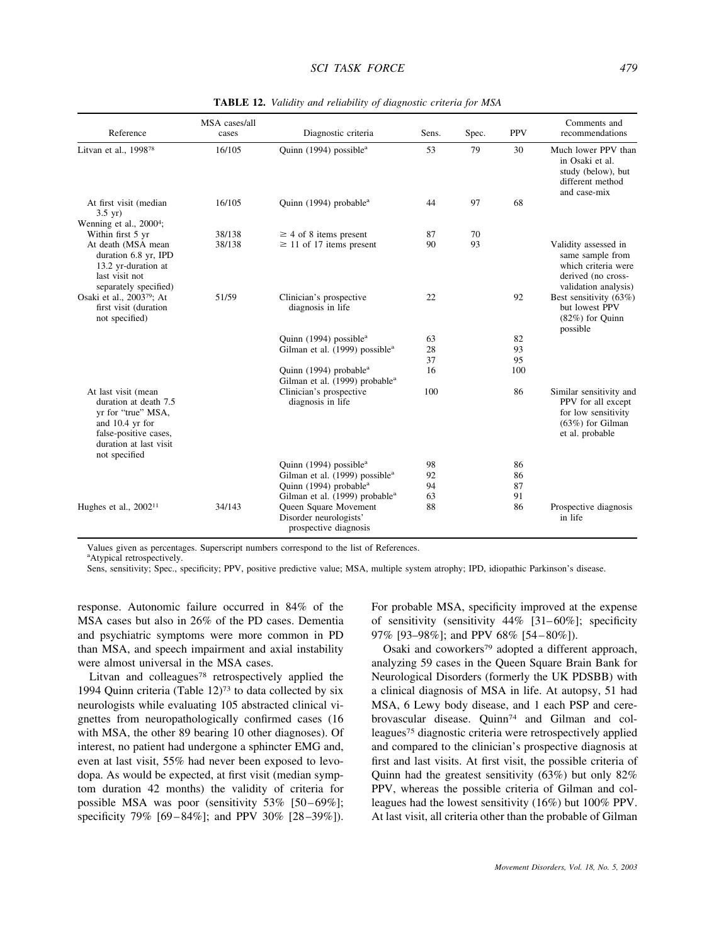| Reference                                                                                                                                                 | MSA cases/all<br>cases | Diagnostic criteria                                                              | Sens. | Spec. | <b>PPV</b> | Comments and<br>recommendations                                                                               |
|-----------------------------------------------------------------------------------------------------------------------------------------------------------|------------------------|----------------------------------------------------------------------------------|-------|-------|------------|---------------------------------------------------------------------------------------------------------------|
| Litvan et al., 199878                                                                                                                                     | 16/105                 | Quinn (1994) possible <sup>a</sup>                                               | 53    | 79    | 30         | Much lower PPV than<br>in Osaki et al.<br>study (below), but<br>different method                              |
| At first visit (median<br>$3.5 \text{ yr}$ )                                                                                                              | 16/105                 | Quinn (1994) probable <sup>a</sup>                                               | 44    | 97    | 68         | and case-mix                                                                                                  |
| Wenning et al., 2000 <sup>4</sup> ;                                                                                                                       |                        |                                                                                  |       |       |            |                                                                                                               |
| Within first 5 yr                                                                                                                                         | 38/138                 | $\geq$ 4 of 8 items present                                                      | 87    | 70    |            |                                                                                                               |
| At death (MSA mean<br>duration 6.8 yr, IPD<br>13.2 yr-duration at<br>last visit not<br>separately specified)                                              | 38/138                 | $\geq$ 11 of 17 items present                                                    | 90    | 93    |            | Validity assessed in<br>same sample from<br>which criteria were<br>derived (no cross-<br>validation analysis) |
| Osaki et al., 2003 <sup>79</sup> ; At<br>first visit (duration<br>not specified)                                                                          | 51/59                  | Clinician's prospective<br>diagnosis in life                                     | 22    |       | 92         | Best sensitivity (63%)<br>but lowest PPV<br>$(82\%)$ for Quinn<br>possible                                    |
|                                                                                                                                                           |                        | Quinn (1994) possible <sup>a</sup>                                               | 63    |       | 82         |                                                                                                               |
|                                                                                                                                                           |                        | Gilman et al. (1999) possible <sup>a</sup>                                       | 28    |       | 93         |                                                                                                               |
|                                                                                                                                                           |                        |                                                                                  | 37    |       | 95         |                                                                                                               |
|                                                                                                                                                           |                        | Quinn (1994) probable <sup>a</sup><br>Gilman et al. (1999) probable <sup>a</sup> | 16    |       | 100        |                                                                                                               |
| At last visit (mean<br>duration at death 7.5<br>yr for "true" MSA,<br>and 10.4 yr for<br>false-positive cases,<br>duration at last visit<br>not specified |                        | Clinician's prospective<br>diagnosis in life                                     | 100   |       | 86         | Similar sensitivity and<br>PPV for all except<br>for low sensitivity<br>$(63%)$ for Gilman<br>et al. probable |
|                                                                                                                                                           |                        | Quinn (1994) possible <sup>a</sup>                                               | 98    |       | 86         |                                                                                                               |
|                                                                                                                                                           |                        | Gilman et al. (1999) possible <sup>a</sup>                                       | 92    |       | 86         |                                                                                                               |
|                                                                                                                                                           |                        | Quinn (1994) probable <sup>a</sup>                                               | 94    |       | 87         |                                                                                                               |
|                                                                                                                                                           |                        | Gilman et al. (1999) probable <sup>a</sup>                                       | 63    |       | 91         |                                                                                                               |
| Hughes et al., $2002^{11}$                                                                                                                                | 34/143                 | Queen Square Movement<br>Disorder neurologists'<br>prospective diagnosis         | 88    |       | 86         | Prospective diagnosis<br>in life                                                                              |

**TABLE 12.** *Validity and reliability of diagnostic criteria for MSA*

Values given as percentages. Superscript numbers correspond to the list of References.

<sup>a</sup>Atypical retrospectively.

Sens, sensitivity; Spec., specificity; PPV, positive predictive value; MSA, multiple system atrophy; IPD, idiopathic Parkinson's disease.

response. Autonomic failure occurred in 84% of the MSA cases but also in 26% of the PD cases. Dementia and psychiatric symptoms were more common in PD than MSA, and speech impairment and axial instability were almost universal in the MSA cases.

Litvan and colleagues<sup>78</sup> retrospectively applied the 1994 Quinn criteria (Table  $12$ )<sup>73</sup> to data collected by six neurologists while evaluating 105 abstracted clinical vignettes from neuropathologically confirmed cases (16 with MSA, the other 89 bearing 10 other diagnoses). Of interest, no patient had undergone a sphincter EMG and, even at last visit, 55% had never been exposed to levodopa. As would be expected, at first visit (median symptom duration 42 months) the validity of criteria for possible MSA was poor (sensitivity 53% [50-69%]; specificity 79% [69-84%]; and PPV 30% [28-39%]).

For probable MSA, specificity improved at the expense of sensitivity (sensitivity  $44\%$  [31–60%]; specificity 97% [93–98%]; and PPV 68% [54–80%]).

Osaki and coworkers<sup>79</sup> adopted a different approach, analyzing 59 cases in the Queen Square Brain Bank for Neurological Disorders (formerly the UK PDSBB) with a clinical diagnosis of MSA in life. At autopsy, 51 had MSA, 6 Lewy body disease, and 1 each PSP and cerebrovascular disease. Quinn74 and Gilman and colleagues75 diagnostic criteria were retrospectively applied and compared to the clinician's prospective diagnosis at first and last visits. At first visit, the possible criteria of Quinn had the greatest sensitivity (63%) but only 82% PPV, whereas the possible criteria of Gilman and colleagues had the lowest sensitivity (16%) but 100% PPV. At last visit, all criteria other than the probable of Gilman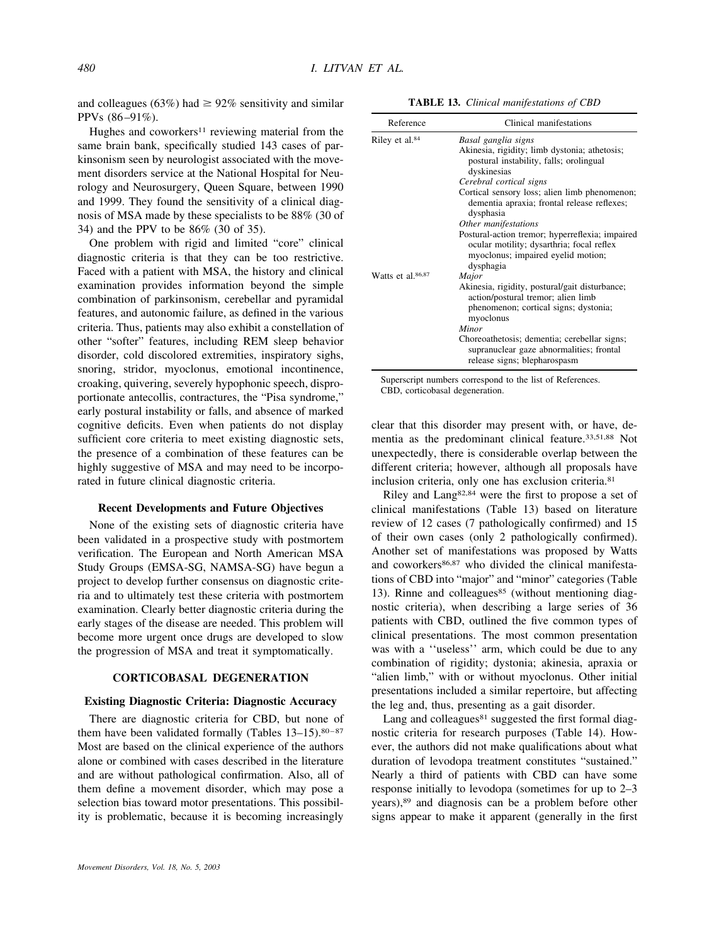and colleagues (63%) had  $\geq$  92% sensitivity and similar PPVs (86-91%).

Hughes and coworkers<sup>11</sup> reviewing material from the same brain bank, specifically studied 143 cases of parkinsonism seen by neurologist associated with the movement disorders service at the National Hospital for Neurology and Neurosurgery, Queen Square, between 1990 and 1999. They found the sensitivity of a clinical diagnosis of MSA made by these specialists to be 88% (30 of 34) and the PPV to be 86% (30 of 35).

One problem with rigid and limited "core" clinical diagnostic criteria is that they can be too restrictive. Faced with a patient with MSA, the history and clinical examination provides information beyond the simple combination of parkinsonism, cerebellar and pyramidal features, and autonomic failure, as defined in the various criteria. Thus, patients may also exhibit a constellation of other "softer" features, including REM sleep behavior disorder, cold discolored extremities, inspiratory sighs, snoring, stridor, myoclonus, emotional incontinence, croaking, quivering, severely hypophonic speech, disproportionate antecollis, contractures, the "Pisa syndrome," early postural instability or falls, and absence of marked cognitive deficits. Even when patients do not display sufficient core criteria to meet existing diagnostic sets, the presence of a combination of these features can be highly suggestive of MSA and may need to be incorporated in future clinical diagnostic criteria.

#### **Recent Developments and Future Objectives**

None of the existing sets of diagnostic criteria have been validated in a prospective study with postmortem verification. The European and North American MSA Study Groups (EMSA-SG, NAMSA-SG) have begun a project to develop further consensus on diagnostic criteria and to ultimately test these criteria with postmortem examination. Clearly better diagnostic criteria during the early stages of the disease are needed. This problem will become more urgent once drugs are developed to slow the progression of MSA and treat it symptomatically.

## **CORTICOBASAL DEGENERATION**

#### **Existing Diagnostic Criteria: Diagnostic Accuracy**

There are diagnostic criteria for CBD, but none of them have been validated formally (Tables  $13-15$ ).<sup>80-87</sup> Most are based on the clinical experience of the authors alone or combined with cases described in the literature and are without pathological confirmation. Also, all of them define a movement disorder, which may pose a selection bias toward motor presentations. This possibility is problematic, because it is becoming increasingly

**TABLE 13.** *Clinical manifestations of CBD*

| Reference                     | Clinical manifestations                                                                                                                         |  |  |
|-------------------------------|-------------------------------------------------------------------------------------------------------------------------------------------------|--|--|
| Riley et al. <sup>84</sup>    | Basal ganglia signs<br>Akinesia, rigidity; limb dystonia; athetosis;<br>postural instability, falls; orolingual<br>dyskinesias                  |  |  |
|                               | Cerebral cortical signs<br>Cortical sensory loss; alien limb phenomenon;<br>dementia apraxia; frontal release reflexes;<br>dysphasia            |  |  |
|                               | Other manifestations                                                                                                                            |  |  |
|                               | Postural-action tremor; hyperreflexia; impaired<br>ocular motility; dysarthria; focal reflex<br>myoclonus; impaired eyelid motion;<br>dysphagia |  |  |
| Watts et al. <sup>86,87</sup> | Major                                                                                                                                           |  |  |
|                               | Akinesia, rigidity, postural/gait disturbance;<br>action/postural tremor; alien limb<br>phenomenon; cortical signs; dystonia;<br>myoclonus      |  |  |
|                               | Minor                                                                                                                                           |  |  |
|                               | Choreoathetosis; dementia; cerebellar signs;<br>supranuclear gaze abnormalities; frontal<br>release signs; blepharospasm                        |  |  |

Superscript numbers correspond to the list of References. CBD, corticobasal degeneration.

clear that this disorder may present with, or have, dementia as the predominant clinical feature.33,51,88 Not unexpectedly, there is considerable overlap between the different criteria; however, although all proposals have inclusion criteria, only one has exclusion criteria.81

Riley and Lang82,84 were the first to propose a set of clinical manifestations (Table 13) based on literature review of 12 cases (7 pathologically confirmed) and 15 of their own cases (only 2 pathologically confirmed). Another set of manifestations was proposed by Watts and coworkers<sup>86,87</sup> who divided the clinical manifestations of CBD into "major" and "minor" categories (Table 13). Rinne and colleagues<sup>85</sup> (without mentioning diagnostic criteria), when describing a large series of 36 patients with CBD, outlined the five common types of clinical presentations. The most common presentation was with a ''useless'' arm, which could be due to any combination of rigidity; dystonia; akinesia, apraxia or "alien limb," with or without myoclonus. Other initial presentations included a similar repertoire, but affecting the leg and, thus, presenting as a gait disorder.

Lang and colleagues $81$  suggested the first formal diagnostic criteria for research purposes (Table 14). However, the authors did not make qualifications about what duration of levodopa treatment constitutes "sustained." Nearly a third of patients with CBD can have some response initially to levodopa (sometimes for up to 2–3 years),89 and diagnosis can be a problem before other signs appear to make it apparent (generally in the first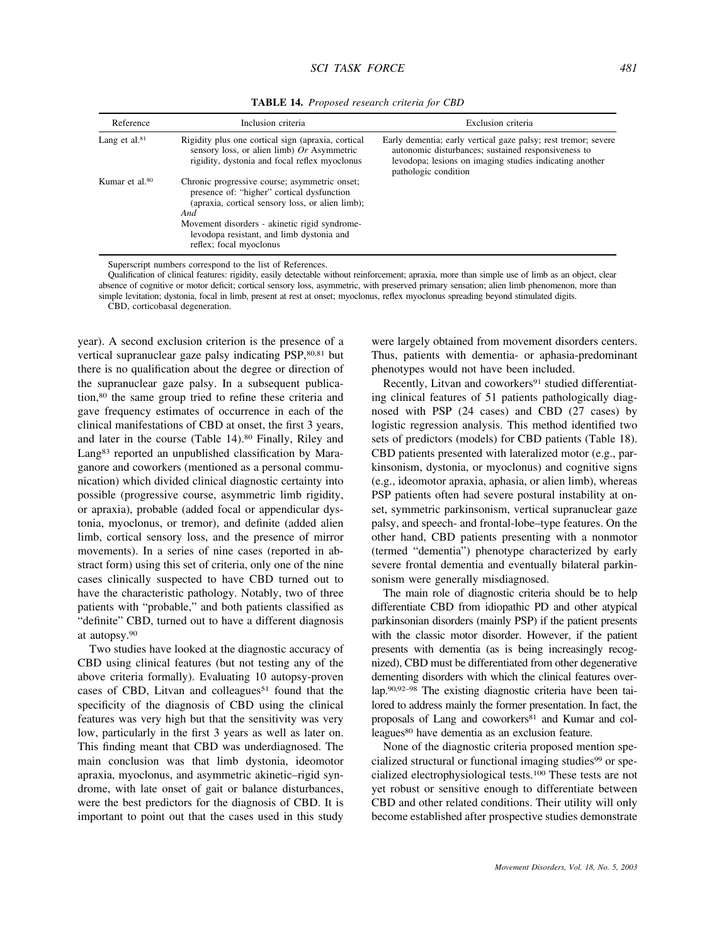| Reference                  | Inclusion criteria                                                                                                                                                                                                                                                              | Exclusion criteria                                                                                                                                                                                       |
|----------------------------|---------------------------------------------------------------------------------------------------------------------------------------------------------------------------------------------------------------------------------------------------------------------------------|----------------------------------------------------------------------------------------------------------------------------------------------------------------------------------------------------------|
| Lang et al. $81$           | Rigidity plus one cortical sign (apraxia, cortical<br>sensory loss, or alien limb) $Or$ Asymmetric<br>rigidity, dystonia and focal reflex myoclonus                                                                                                                             | Early dementia; early vertical gaze palsy; rest tremor; severe<br>autonomic disturbances; sustained responsiveness to<br>levodopa; lesions on imaging studies indicating another<br>pathologic condition |
| Kumar et al. <sup>80</sup> | Chronic progressive course; asymmetric onset;<br>presence of: "higher" cortical dysfunction<br>(apraxia, cortical sensory loss, or alien limb);<br>And<br>Movement disorders - akinetic rigid syndrome-<br>levodopa resistant, and limb dystonia and<br>reflex; focal myoclonus |                                                                                                                                                                                                          |

**TABLE 14.** *Proposed research criteria for CBD*

Superscript numbers correspond to the list of References.

Qualification of clinical features: rigidity, easily detectable without reinforcement; apraxia, more than simple use of limb as an object, clear absence of cognitive or motor deficit; cortical sensory loss, asymmetric, with preserved primary sensation; alien limb phenomenon, more than simple levitation; dystonia, focal in limb, present at rest at onset; myoclonus, reflex myoclonus spreading beyond stimulated digits. CBD, corticobasal degeneration.

year). A second exclusion criterion is the presence of a vertical supranuclear gaze palsy indicating PSP, 80,81 but there is no qualification about the degree or direction of the supranuclear gaze palsy. In a subsequent publication,80 the same group tried to refine these criteria and gave frequency estimates of occurrence in each of the clinical manifestations of CBD at onset, the first 3 years, and later in the course (Table 14).80 Finally, Riley and Lang83 reported an unpublished classification by Maraganore and coworkers (mentioned as a personal communication) which divided clinical diagnostic certainty into possible (progressive course, asymmetric limb rigidity, or apraxia), probable (added focal or appendicular dystonia, myoclonus, or tremor), and definite (added alien limb, cortical sensory loss, and the presence of mirror movements). In a series of nine cases (reported in abstract form) using this set of criteria, only one of the nine cases clinically suspected to have CBD turned out to have the characteristic pathology. Notably, two of three patients with "probable," and both patients classified as "definite" CBD, turned out to have a different diagnosis at autopsy.90

Two studies have looked at the diagnostic accuracy of CBD using clinical features (but not testing any of the above criteria formally). Evaluating 10 autopsy-proven cases of CBD, Litvan and colleagues<sup>51</sup> found that the specificity of the diagnosis of CBD using the clinical features was very high but that the sensitivity was very low, particularly in the first 3 years as well as later on. This finding meant that CBD was underdiagnosed. The main conclusion was that limb dystonia, ideomotor apraxia, myoclonus, and asymmetric akinetic–rigid syndrome, with late onset of gait or balance disturbances, were the best predictors for the diagnosis of CBD. It is important to point out that the cases used in this study

were largely obtained from movement disorders centers. Thus, patients with dementia- or aphasia-predominant phenotypes would not have been included.

Recently, Litvan and coworkers<sup>91</sup> studied differentiating clinical features of 51 patients pathologically diagnosed with PSP (24 cases) and CBD (27 cases) by logistic regression analysis. This method identified two sets of predictors (models) for CBD patients (Table 18). CBD patients presented with lateralized motor (e.g., parkinsonism, dystonia, or myoclonus) and cognitive signs (e.g., ideomotor apraxia, aphasia, or alien limb), whereas PSP patients often had severe postural instability at onset, symmetric parkinsonism, vertical supranuclear gaze palsy, and speech- and frontal-lobe–type features. On the other hand, CBD patients presenting with a nonmotor (termed "dementia") phenotype characterized by early severe frontal dementia and eventually bilateral parkinsonism were generally misdiagnosed.

The main role of diagnostic criteria should be to help differentiate CBD from idiopathic PD and other atypical parkinsonian disorders (mainly PSP) if the patient presents with the classic motor disorder. However, if the patient presents with dementia (as is being increasingly recognized), CBD must be differentiated from other degenerative dementing disorders with which the clinical features overlap.90,92–98 The existing diagnostic criteria have been tailored to address mainly the former presentation. In fact, the proposals of Lang and coworkers<sup>81</sup> and Kumar and colleagues<sup>80</sup> have dementia as an exclusion feature.

None of the diagnostic criteria proposed mention specialized structural or functional imaging studies<sup>99</sup> or specialized electrophysiological tests.100 These tests are not yet robust or sensitive enough to differentiate between CBD and other related conditions. Their utility will only become established after prospective studies demonstrate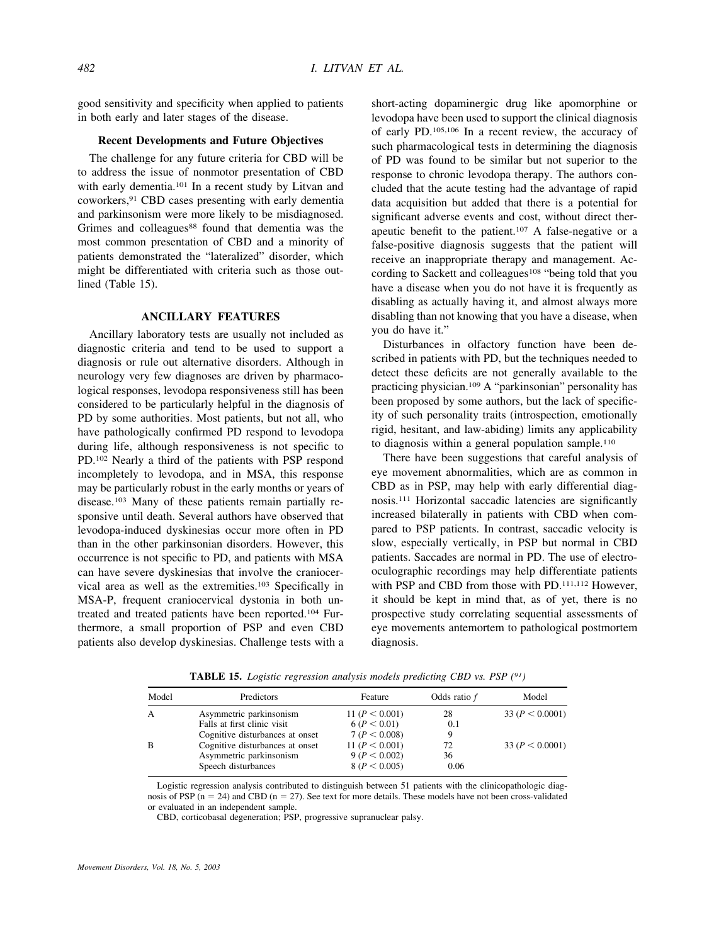good sensitivity and specificity when applied to patients in both early and later stages of the disease.

#### **Recent Developments and Future Objectives**

The challenge for any future criteria for CBD will be to address the issue of nonmotor presentation of CBD with early dementia.<sup>101</sup> In a recent study by Litvan and coworkers,91 CBD cases presenting with early dementia and parkinsonism were more likely to be misdiagnosed. Grimes and colleagues<sup>88</sup> found that dementia was the most common presentation of CBD and a minority of patients demonstrated the "lateralized" disorder, which might be differentiated with criteria such as those outlined (Table 15).

#### **ANCILLARY FEATURES**

Ancillary laboratory tests are usually not included as diagnostic criteria and tend to be used to support a diagnosis or rule out alternative disorders. Although in neurology very few diagnoses are driven by pharmacological responses, levodopa responsiveness still has been considered to be particularly helpful in the diagnosis of PD by some authorities. Most patients, but not all, who have pathologically confirmed PD respond to levodopa during life, although responsiveness is not specific to PD.102 Nearly a third of the patients with PSP respond incompletely to levodopa, and in MSA, this response may be particularly robust in the early months or years of disease.103 Many of these patients remain partially responsive until death. Several authors have observed that levodopa-induced dyskinesias occur more often in PD than in the other parkinsonian disorders. However, this occurrence is not specific to PD, and patients with MSA can have severe dyskinesias that involve the craniocervical area as well as the extremities.103 Specifically in MSA-P, frequent craniocervical dystonia in both untreated and treated patients have been reported.104 Furthermore, a small proportion of PSP and even CBD patients also develop dyskinesias. Challenge tests with a short-acting dopaminergic drug like apomorphine or levodopa have been used to support the clinical diagnosis of early PD.105,106 In a recent review, the accuracy of such pharmacological tests in determining the diagnosis of PD was found to be similar but not superior to the response to chronic levodopa therapy. The authors concluded that the acute testing had the advantage of rapid data acquisition but added that there is a potential for significant adverse events and cost, without direct therapeutic benefit to the patient.107 A false-negative or a false-positive diagnosis suggests that the patient will receive an inappropriate therapy and management. According to Sackett and colleagues<sup>108</sup> "being told that you have a disease when you do not have it is frequently as disabling as actually having it, and almost always more disabling than not knowing that you have a disease, when you do have it."

Disturbances in olfactory function have been described in patients with PD, but the techniques needed to detect these deficits are not generally available to the practicing physician.109 A "parkinsonian" personality has been proposed by some authors, but the lack of specificity of such personality traits (introspection, emotionally rigid, hesitant, and law-abiding) limits any applicability to diagnosis within a general population sample.<sup>110</sup>

There have been suggestions that careful analysis of eye movement abnormalities, which are as common in CBD as in PSP, may help with early differential diagnosis.111 Horizontal saccadic latencies are significantly increased bilaterally in patients with CBD when compared to PSP patients. In contrast, saccadic velocity is slow, especially vertically, in PSP but normal in CBD patients. Saccades are normal in PD. The use of electrooculographic recordings may help differentiate patients with PSP and CBD from those with PD.<sup>111,112</sup> However, it should be kept in mind that, as of yet, there is no prospective study correlating sequential assessments of eye movements antemortem to pathological postmortem diagnosis.

| Model | Predictors                      | Feature            | Odds ratio $f$ | Model               |
|-------|---------------------------------|--------------------|----------------|---------------------|
| A     | Asymmetric parkinsonism         | 11 ( $P < 0.001$ ) | 28             | 33 ( $P < 0.0001$ ) |
|       | Falls at first clinic visit     | 6 (P < 0.01)       | 0.1            |                     |
|       | Cognitive disturbances at onset | 7 (P < 0.008)      | 9              |                     |
| - B   | Cognitive disturbances at onset | 11 ( $P < 0.001$ ) | 72             | 33 ( $P < 0.0001$ ) |
|       | Asymmetric parkinsonism         | 9 (P < 0.002)      | 36             |                     |
|       | Speech disturbances             | 8 (P < 0.005)      | 0.06           |                     |

**TABLE 15.** *Logistic regression analysis models predicting CBD vs. PSP (91)*

Logistic regression analysis contributed to distinguish between 51 patients with the clinicopathologic diagnosis of PSP ( $n = 24$ ) and CBD ( $n = 27$ ). See text for more details. These models have not been cross-validated or evaluated in an independent sample.

CBD, corticobasal degeneration; PSP, progressive supranuclear palsy.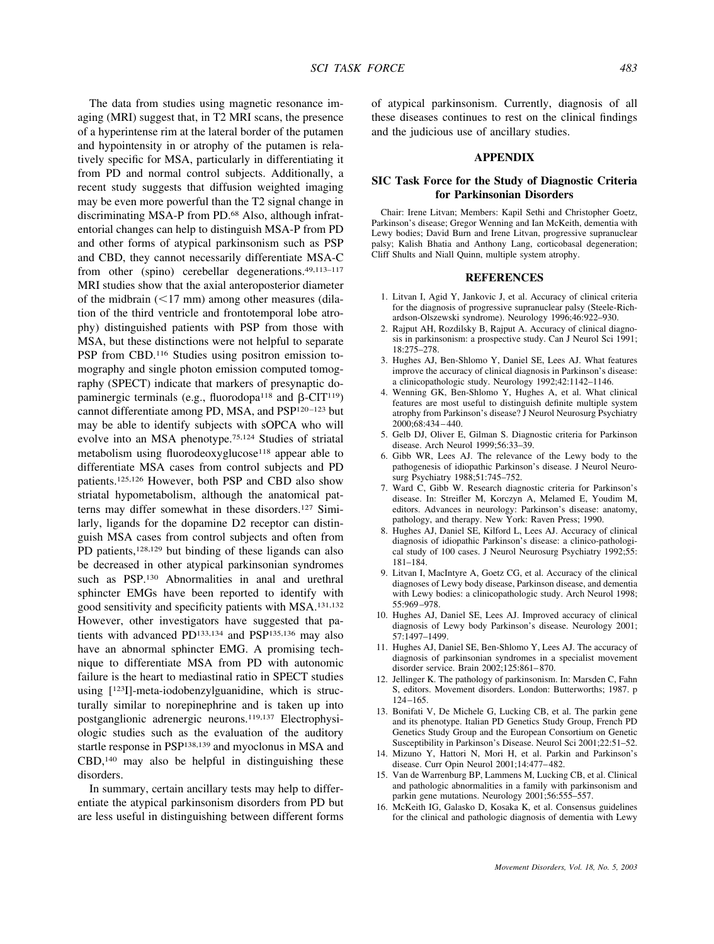The data from studies using magnetic resonance imaging (MRI) suggest that, in T2 MRI scans, the presence of a hyperintense rim at the lateral border of the putamen and hypointensity in or atrophy of the putamen is relatively specific for MSA, particularly in differentiating it from PD and normal control subjects. Additionally, a recent study suggests that diffusion weighted imaging may be even more powerful than the T2 signal change in discriminating MSA-P from PD.68 Also, although infratentorial changes can help to distinguish MSA-P from PD and other forms of atypical parkinsonism such as PSP and CBD, they cannot necessarily differentiate MSA-C from other (spino) cerebellar degenerations.49,113–117 MRI studies show that the axial anteroposterior diameter of the midbrain  $(<17 \text{ mm})$  among other measures (dilation of the third ventricle and frontotemporal lobe atrophy) distinguished patients with PSP from those with MSA, but these distinctions were not helpful to separate PSP from CBD.116 Studies using positron emission tomography and single photon emission computed tomography (SPECT) indicate that markers of presynaptic dopaminergic terminals (e.g., fluorodopa<sup>118</sup> and  $\beta$ -CIT<sup>119</sup>) cannot differentiate among PD, MSA, and PSP<sup>120-123</sup> but may be able to identify subjects with sOPCA who will evolve into an MSA phenotype.75,124 Studies of striatal metabolism using fluorodeoxyglucose<sup>118</sup> appear able to differentiate MSA cases from control subjects and PD patients.125,126 However, both PSP and CBD also show striatal hypometabolism, although the anatomical patterns may differ somewhat in these disorders.127 Similarly, ligands for the dopamine D2 receptor can distinguish MSA cases from control subjects and often from PD patients,<sup>128,129</sup> but binding of these ligands can also be decreased in other atypical parkinsonian syndromes such as PSP.130 Abnormalities in anal and urethral sphincter EMGs have been reported to identify with good sensitivity and specificity patients with MSA.131,132 However, other investigators have suggested that patients with advanced PD133,134 and PSP135,136 may also have an abnormal sphincter EMG. A promising technique to differentiate MSA from PD with autonomic failure is the heart to mediastinal ratio in SPECT studies using [123I]-meta-iodobenzylguanidine, which is structurally similar to norepinephrine and is taken up into postganglionic adrenergic neurons.119,137 Electrophysiologic studies such as the evaluation of the auditory startle response in PSP138,139 and myoclonus in MSA and CBD,140 may also be helpful in distinguishing these disorders.

In summary, certain ancillary tests may help to differentiate the atypical parkinsonism disorders from PD but are less useful in distinguishing between different forms

of atypical parkinsonism. Currently, diagnosis of all these diseases continues to rest on the clinical findings and the judicious use of ancillary studies.

#### **APPENDIX**

## **SIC Task Force for the Study of Diagnostic Criteria for Parkinsonian Disorders**

Chair: Irene Litvan; Members: Kapil Sethi and Christopher Goetz, Parkinson's disease; Gregor Wenning and Ian McKeith, dementia with Lewy bodies; David Burn and Irene Litvan, progressive supranuclear palsy; Kalish Bhatia and Anthony Lang, corticobasal degeneration; Cliff Shults and Niall Quinn, multiple system atrophy.

#### **REFERENCES**

- 1. Litvan I, Agid Y, Jankovic J, et al. Accuracy of clinical criteria for the diagnosis of progressive supranuclear palsy (Steele-Richardson-Olszewski syndrome). Neurology 1996;46:922–930.
- 2. Rajput AH, Rozdilsky B, Rajput A. Accuracy of clinical diagnosis in parkinsonism: a prospective study. Can J Neurol Sci 1991; 18:275–278.
- 3. Hughes AJ, Ben-Shlomo Y, Daniel SE, Lees AJ. What features improve the accuracy of clinical diagnosis in Parkinson's disease: a clinicopathologic study. Neurology 1992;42:1142–1146.
- 4. Wenning GK, Ben-Shlomo Y, Hughes A, et al. What clinical features are most useful to distinguish definite multiple system atrophy from Parkinson's disease? J Neurol Neurosurg Psychiatry 2000;68:434 – 440.
- 5. Gelb DJ, Oliver E, Gilman S. Diagnostic criteria for Parkinson disease. Arch Neurol 1999;56:33–39.
- 6. Gibb WR, Lees AJ. The relevance of the Lewy body to the pathogenesis of idiopathic Parkinson's disease. J Neurol Neurosurg Psychiatry 1988;51:745–752.
- 7. Ward C, Gibb W. Research diagnostic criteria for Parkinson's disease. In: Streifler M, Korczyn A, Melamed E, Youdim M, editors. Advances in neurology: Parkinson's disease: anatomy, pathology, and therapy. New York: Raven Press; 1990.
- 8. Hughes AJ, Daniel SE, Kilford L, Lees AJ. Accuracy of clinical diagnosis of idiopathic Parkinson's disease: a clinico-pathological study of 100 cases. J Neurol Neurosurg Psychiatry 1992;55: 181–184.
- 9. Litvan I, MacIntyre A, Goetz CG, et al. Accuracy of the clinical diagnoses of Lewy body disease, Parkinson disease, and dementia with Lewy bodies: a clinicopathologic study. Arch Neurol 1998; 55:969 –978.
- 10. Hughes AJ, Daniel SE, Lees AJ. Improved accuracy of clinical diagnosis of Lewy body Parkinson's disease. Neurology 2001; 57:1497–1499.
- 11. Hughes AJ, Daniel SE, Ben-Shlomo Y, Lees AJ. The accuracy of diagnosis of parkinsonian syndromes in a specialist movement disorder service. Brain 2002;125:861– 870.
- 12. Jellinger K. The pathology of parkinsonism. In: Marsden C, Fahn S, editors. Movement disorders. London: Butterworths; 1987. p 124 –165.
- 13. Bonifati V, De Michele G, Lucking CB, et al. The parkin gene and its phenotype. Italian PD Genetics Study Group, French PD Genetics Study Group and the European Consortium on Genetic Susceptibility in Parkinson's Disease. Neurol Sci 2001;22:51–52.
- 14. Mizuno Y, Hattori N, Mori H, et al. Parkin and Parkinson's disease. Curr Opin Neurol 2001;14:477– 482.
- 15. Van de Warrenburg BP, Lammens M, Lucking CB, et al. Clinical and pathologic abnormalities in a family with parkinsonism and parkin gene mutations. Neurology 2001;56:555-557.
- 16. McKeith IG, Galasko D, Kosaka K, et al. Consensus guidelines for the clinical and pathologic diagnosis of dementia with Lewy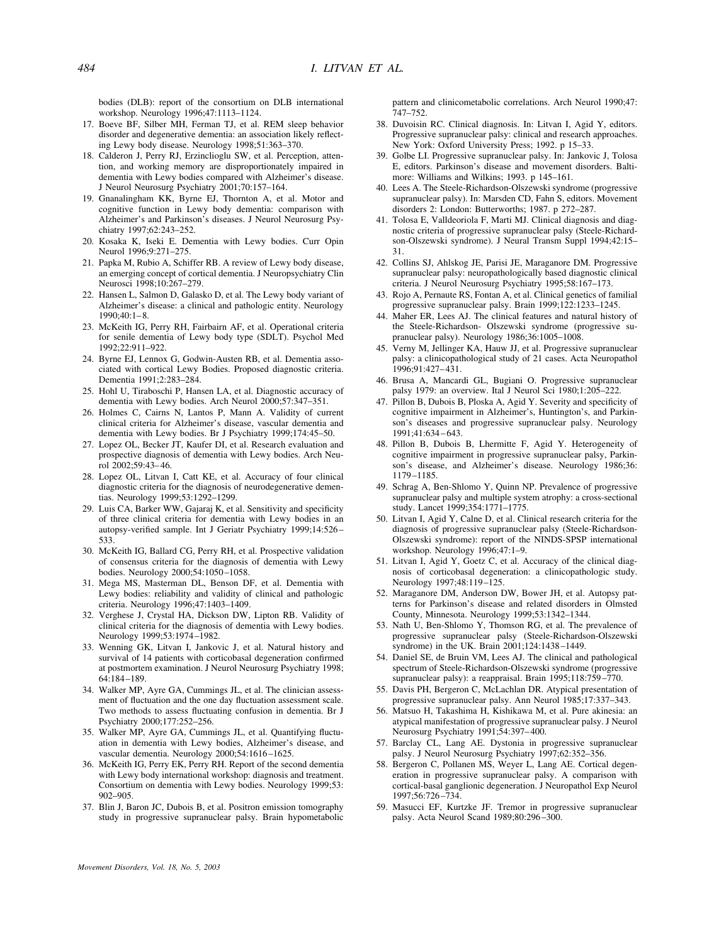bodies (DLB): report of the consortium on DLB international workshop. Neurology 1996;47:1113–1124.

- 17. Boeve BF, Silber MH, Ferman TJ, et al. REM sleep behavior disorder and degenerative dementia: an association likely reflecting Lewy body disease. Neurology 1998;51:363–370.
- 18. Calderon J, Perry RJ, Erzinclioglu SW, et al. Perception, attention, and working memory are disproportionately impaired in dementia with Lewy bodies compared with Alzheimer's disease. J Neurol Neurosurg Psychiatry 2001;70:157–164.
- 19. Gnanalingham KK, Byrne EJ, Thornton A, et al. Motor and cognitive function in Lewy body dementia: comparison with Alzheimer's and Parkinson's diseases. J Neurol Neurosurg Psychiatry 1997;62:243–252.
- 20. Kosaka K, Iseki E. Dementia with Lewy bodies. Curr Opin Neurol 1996;9:271–275.
- 21. Papka M, Rubio A, Schiffer RB. A review of Lewy body disease, an emerging concept of cortical dementia. J Neuropsychiatry Clin Neurosci 1998;10:267–279.
- 22. Hansen L, Salmon D, Galasko D, et al. The Lewy body variant of Alzheimer's disease: a clinical and pathologic entity. Neurology  $1990:40:1-8$ .
- 23. McKeith IG, Perry RH, Fairbairn AF, et al. Operational criteria for senile dementia of Lewy body type (SDLT). Psychol Med 1992;22:911–922.
- 24. Byrne EJ, Lennox G, Godwin-Austen RB, et al. Dementia associated with cortical Lewy Bodies. Proposed diagnostic criteria. Dementia 1991;2:283–284.
- 25. Hohl U, Tiraboschi P, Hansen LA, et al. Diagnostic accuracy of dementia with Lewy bodies. Arch Neurol 2000;57:347–351.
- 26. Holmes C, Cairns N, Lantos P, Mann A. Validity of current clinical criteria for Alzheimer's disease, vascular dementia and dementia with Lewy bodies. Br J Psychiatry 1999;174:45–50.
- 27. Lopez OL, Becker JT, Kaufer DI, et al. Research evaluation and prospective diagnosis of dementia with Lewy bodies. Arch Neurol 2002;59:43– 46.
- 28. Lopez OL, Litvan I, Catt KE, et al. Accuracy of four clinical diagnostic criteria for the diagnosis of neurodegenerative dementias. Neurology 1999;53:1292-1299.
- 29. Luis CA, Barker WW, Gajaraj K, et al. Sensitivity and specificity of three clinical criteria for dementia with Lewy bodies in an autopsy-verified sample. Int J Geriatr Psychiatry 1999;14:526 – 533.
- 30. McKeith IG, Ballard CG, Perry RH, et al. Prospective validation of consensus criteria for the diagnosis of dementia with Lewy bodies. Neurology 2000;54:1050 –1058.
- 31. Mega MS, Masterman DL, Benson DF, et al. Dementia with Lewy bodies: reliability and validity of clinical and pathologic criteria. Neurology 1996;47:1403–1409.
- 32. Verghese J, Crystal HA, Dickson DW, Lipton RB. Validity of clinical criteria for the diagnosis of dementia with Lewy bodies. Neurology 1999;53:1974-1982.
- 33. Wenning GK, Litvan I, Jankovic J, et al. Natural history and survival of 14 patients with corticobasal degeneration confirmed at postmortem examination. J Neurol Neurosurg Psychiatry 1998; 64:184 –189.
- 34. Walker MP, Ayre GA, Cummings JL, et al. The clinician assessment of fluctuation and the one day fluctuation assessment scale. Two methods to assess fluctuating confusion in dementia. Br J Psychiatry 2000;177:252–256.
- 35. Walker MP, Ayre GA, Cummings JL, et al. Quantifying fluctuation in dementia with Lewy bodies, Alzheimer's disease, and vascular dementia. Neurology 2000;54:1616 –1625.
- 36. McKeith IG, Perry EK, Perry RH. Report of the second dementia with Lewy body international workshop: diagnosis and treatment. Consortium on dementia with Lewy bodies. Neurology 1999;53: 902–905.
- 37. Blin J, Baron JC, Dubois B, et al. Positron emission tomography study in progressive supranuclear palsy. Brain hypometabolic

pattern and clinicometabolic correlations. Arch Neurol 1990;47: 747–752.

- 38. Duvoisin RC. Clinical diagnosis. In: Litvan I, Agid Y, editors. Progressive supranuclear palsy: clinical and research approaches. New York: Oxford University Press; 1992. p 15–33.
- 39. Golbe LI. Progressive supranuclear palsy. In: Jankovic J, Tolosa E, editors. Parkinson's disease and movement disorders. Baltimore: Williams and Wilkins; 1993. p 145–161.
- 40. Lees A. The Steele-Richardson-Olszewski syndrome (progressive supranuclear palsy). In: Marsden CD, Fahn S, editors. Movement disorders 2: London: Butterworths; 1987. p 272–287.
- 41. Tolosa E, Valldeoriola F, Marti MJ. Clinical diagnosis and diagnostic criteria of progressive supranuclear palsy (Steele-Richardson-Olszewski syndrome). J Neural Transm Suppl 1994;42:15– 31.
- 42. Collins SJ, Ahlskog JE, Parisi JE, Maraganore DM. Progressive supranuclear palsy: neuropathologically based diagnostic clinical criteria. J Neurol Neurosurg Psychiatry 1995;58:167–173.
- 43. Rojo A, Pernaute RS, Fontan A, et al. Clinical genetics of familial progressive supranuclear palsy. Brain 1999;122:1233–1245.
- 44. Maher ER, Lees AJ. The clinical features and natural history of the Steele-Richardson- Olszewski syndrome (progressive supranuclear palsy). Neurology 1986;36:1005–1008.
- 45. Verny M, Jellinger KA, Hauw JJ, et al. Progressive supranuclear palsy: a clinicopathological study of 21 cases. Acta Neuropathol 1996;91:427– 431.
- 46. Brusa A, Mancardi GL, Bugiani O. Progressive supranuclear palsy 1979: an overview. Ital J Neurol Sci 1980;1:205–222.
- 47. Pillon B, Dubois B, Ploska A, Agid Y. Severity and specificity of cognitive impairment in Alzheimer's, Huntington's, and Parkinson's diseases and progressive supranuclear palsy. Neurology 1991;41:634 – 643.
- 48. Pillon B, Dubois B, Lhermitte F, Agid Y. Heterogeneity of cognitive impairment in progressive supranuclear palsy, Parkinson's disease, and Alzheimer's disease. Neurology 1986;36: 1179 –1185.
- 49. Schrag A, Ben-Shlomo Y, Quinn NP. Prevalence of progressive supranuclear palsy and multiple system atrophy: a cross-sectional study. Lancet 1999;354:1771–1775.
- 50. Litvan I, Agid Y, Calne D, et al. Clinical research criteria for the diagnosis of progressive supranuclear palsy (Steele-Richardson-Olszewski syndrome): report of the NINDS-SPSP international workshop. Neurology 1996;47:1–9.
- 51. Litvan I, Agid Y, Goetz C, et al. Accuracy of the clinical diagnosis of corticobasal degeneration: a clinicopathologic study. Neurology 1997;48:119-125.
- 52. Maraganore DM, Anderson DW, Bower JH, et al. Autopsy patterns for Parkinson's disease and related disorders in Olmsted County, Minnesota. Neurology 1999;53:1342–1344.
- 53. Nath U, Ben-Shlomo Y, Thomson RG, et al. The prevalence of progressive supranuclear palsy (Steele-Richardson-Olszewski syndrome) in the UK. Brain 2001;124:1438 –1449.
- 54. Daniel SE, de Bruin VM, Lees AJ. The clinical and pathological spectrum of Steele-Richardson-Olszewski syndrome (progressive supranuclear palsy): a reappraisal. Brain 1995;118:759-770.
- 55. Davis PH, Bergeron C, McLachlan DR. Atypical presentation of progressive supranuclear palsy. Ann Neurol 1985;17:337–343.
- 56. Matsuo H, Takashima H, Kishikawa M, et al. Pure akinesia: an atypical manifestation of progressive supranuclear palsy. J Neurol Neurosurg Psychiatry 1991;54:397– 400.
- 57. Barclay CL, Lang AE. Dystonia in progressive supranuclear palsy. J Neurol Neurosurg Psychiatry 1997;62:352–356.
- 58. Bergeron C, Pollanen MS, Weyer L, Lang AE. Cortical degeneration in progressive supranuclear palsy. A comparison with cortical-basal ganglionic degeneration. J Neuropathol Exp Neurol 1997;56:726 –734.
- 59. Masucci EF, Kurtzke JF. Tremor in progressive supranuclear palsy. Acta Neurol Scand 1989;80:296 –300.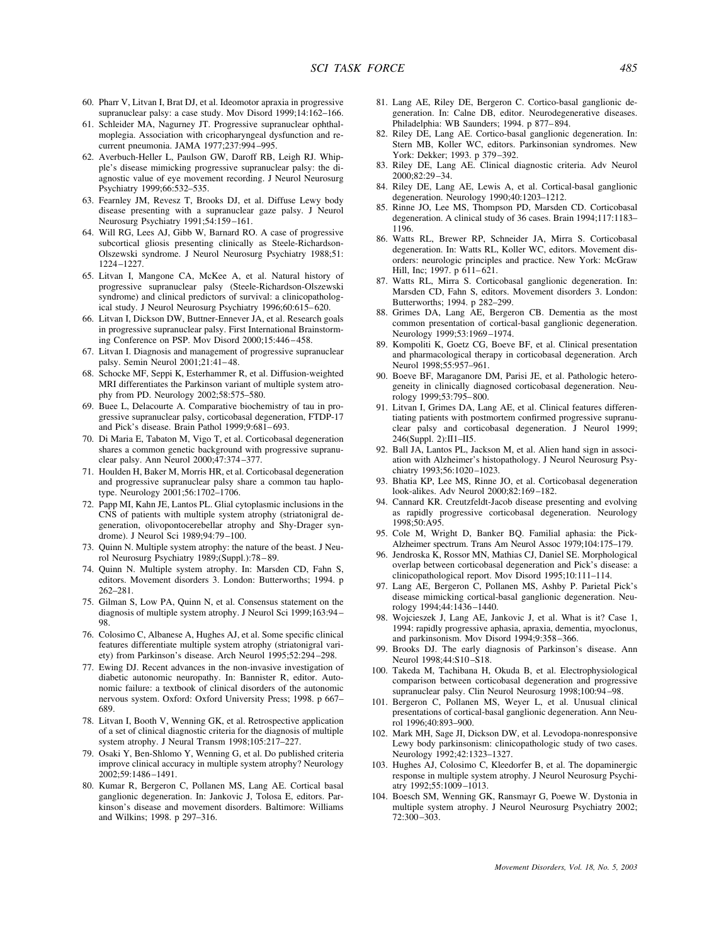- 60. Pharr V, Litvan I, Brat DJ, et al. Ideomotor apraxia in progressive supranuclear palsy: a case study. Mov Disord 1999;14:162–166.
- 61. Schleider MA, Nagurney JT. Progressive supranuclear ophthalmoplegia. Association with cricopharyngeal dysfunction and recurrent pneumonia. JAMA 1977;237:994 –995.
- 62. Averbuch-Heller L, Paulson GW, Daroff RB, Leigh RJ. Whipple's disease mimicking progressive supranuclear palsy: the diagnostic value of eye movement recording. J Neurol Neurosurg Psychiatry 1999;66:532–535.
- 63. Fearnley JM, Revesz T, Brooks DJ, et al. Diffuse Lewy body disease presenting with a supranuclear gaze palsy. J Neurol Neurosurg Psychiatry 1991;54:159 –161.
- 64. Will RG, Lees AJ, Gibb W, Barnard RO. A case of progressive subcortical gliosis presenting clinically as Steele-Richardson-Olszewski syndrome. J Neurol Neurosurg Psychiatry 1988;51: 1224 –1227.
- 65. Litvan I, Mangone CA, McKee A, et al. Natural history of progressive supranuclear palsy (Steele-Richardson-Olszewski syndrome) and clinical predictors of survival: a clinicopathological study. J Neurol Neurosurg Psychiatry 1996;60:615– 620.
- 66. Litvan I, Dickson DW, Buttner-Ennever JA, et al. Research goals in progressive supranuclear palsy. First International Brainstorming Conference on PSP. Mov Disord 2000;15:446 – 458.
- 67. Litvan I. Diagnosis and management of progressive supranuclear palsy. Semin Neurol 2001;21:41– 48.
- 68. Schocke MF, Seppi K, Esterhammer R, et al. Diffusion-weighted MRI differentiates the Parkinson variant of multiple system atrophy from PD. Neurology 2002;58:575–580.
- 69. Buee L, Delacourte A. Comparative biochemistry of tau in progressive supranuclear palsy, corticobasal degeneration, FTDP-17 and Pick's disease. Brain Pathol 1999;9:681-693.
- 70. Di Maria E, Tabaton M, Vigo T, et al. Corticobasal degeneration shares a common genetic background with progressive supranuclear palsy. Ann Neurol 2000;47:374 –377.
- 71. Houlden H, Baker M, Morris HR, et al. Corticobasal degeneration and progressive supranuclear palsy share a common tau haplotype. Neurology 2001;56:1702–1706.
- 72. Papp MI, Kahn JE, Lantos PL. Glial cytoplasmic inclusions in the CNS of patients with multiple system atrophy (striatonigral degeneration, olivopontocerebellar atrophy and Shy-Drager syndrome). J Neurol Sci 1989;94:79 –100.
- 73. Quinn N. Multiple system atrophy: the nature of the beast. J Neurol Neurosurg Psychiatry 1989;(Suppl.):78 – 89.
- 74. Quinn N. Multiple system atrophy. In: Marsden CD, Fahn S, editors. Movement disorders 3. London: Butterworths; 1994. p 262–281.
- 75. Gilman S, Low PA, Quinn N, et al. Consensus statement on the diagnosis of multiple system atrophy. J Neurol Sci 1999;163:94 – 98.
- 76. Colosimo C, Albanese A, Hughes AJ, et al. Some specific clinical features differentiate multiple system atrophy (striatonigral variety) from Parkinson's disease. Arch Neurol 1995;52:294 –298.
- 77. Ewing DJ. Recent advances in the non-invasive investigation of diabetic autonomic neuropathy. In: Bannister R, editor. Autonomic failure: a textbook of clinical disorders of the autonomic nervous system. Oxford: Oxford University Press; 1998. p 667– 689.
- 78. Litvan I, Booth V, Wenning GK, et al. Retrospective application of a set of clinical diagnostic criteria for the diagnosis of multiple system atrophy. J Neural Transm 1998;105:217–227.
- 79. Osaki Y, Ben-Shlomo Y, Wenning G, et al. Do published criteria improve clinical accuracy in multiple system atrophy? Neurology 2002;59:1486 –1491.
- 80. Kumar R, Bergeron C, Pollanen MS, Lang AE. Cortical basal ganglionic degeneration. In: Jankovic J, Tolosa E, editors. Parkinson's disease and movement disorders. Baltimore: Williams and Wilkins; 1998. p 297–316.
- 81. Lang AE, Riley DE, Bergeron C. Cortico-basal ganglionic degeneration. In: Calne DB, editor. Neurodegenerative diseases. Philadelphia: WB Saunders; 1994. p 877-894.
- 82. Riley DE, Lang AE. Cortico-basal ganglionic degeneration. In: Stern MB, Koller WC, editors. Parkinsonian syndromes. New York: Dekker; 1993. p 379 –392.
- 83. Riley DE, Lang AE. Clinical diagnostic criteria. Adv Neurol 2000;82:29 –34.
- 84. Riley DE, Lang AE, Lewis A, et al. Cortical-basal ganglionic degeneration. Neurology 1990;40:1203–1212.
- 85. Rinne JO, Lee MS, Thompson PD, Marsden CD. Corticobasal degeneration. A clinical study of 36 cases. Brain 1994;117:1183– 1196.
- 86. Watts RL, Brewer RP, Schneider JA, Mirra S. Corticobasal degeneration. In: Watts RL, Koller WC, editors. Movement disorders: neurologic principles and practice. New York: McGraw Hill, Inc; 1997. p 611-621.
- 87. Watts RL, Mirra S. Corticobasal ganglionic degeneration. In: Marsden CD, Fahn S, editors. Movement disorders 3. London: Butterworths; 1994. p 282–299.
- 88. Grimes DA, Lang AE, Bergeron CB. Dementia as the most common presentation of cortical-basal ganglionic degeneration. Neurology 1999;53:1969 –1974.
- 89. Kompoliti K, Goetz CG, Boeve BF, et al. Clinical presentation and pharmacological therapy in corticobasal degeneration. Arch Neurol 1998;55:957–961.
- 90. Boeve BF, Maraganore DM, Parisi JE, et al. Pathologic heterogeneity in clinically diagnosed corticobasal degeneration. Neurology 1999;53:795– 800.
- 91. Litvan I, Grimes DA, Lang AE, et al. Clinical features differentiating patients with postmortem confirmed progressive supranuclear palsy and corticobasal degeneration. J Neurol 1999; 246(Suppl. 2):II1–II5.
- 92. Ball JA, Lantos PL, Jackson M, et al. Alien hand sign in association with Alzheimer's histopathology. J Neurol Neurosurg Psychiatry 1993;56:1020 –1023.
- 93. Bhatia KP, Lee MS, Rinne JO, et al. Corticobasal degeneration look-alikes. Adv Neurol 2000;82:169 –182.
- 94. Cannard KR. Creutzfeldt-Jacob disease presenting and evolving as rapidly progressive corticobasal degeneration. Neurology 1998;50:A95.
- 95. Cole M, Wright D, Banker BQ. Familial aphasia: the Pick-Alzheimer spectrum. Trans Am Neurol Assoc 1979;104:175–179.
- 96. Jendroska K, Rossor MN, Mathias CJ, Daniel SE. Morphological overlap between corticobasal degeneration and Pick's disease: a clinicopathological report. Mov Disord 1995;10:111–114.
- 97. Lang AE, Bergeron C, Pollanen MS, Ashby P. Parietal Pick's disease mimicking cortical-basal ganglionic degeneration. Neurology 1994;44:1436 –1440.
- 98. Wojcieszek J, Lang AE, Jankovic J, et al. What is it? Case 1, 1994: rapidly progressive aphasia, apraxia, dementia, myoclonus, and parkinsonism. Mov Disord 1994;9:358 –366.
- 99. Brooks DJ. The early diagnosis of Parkinson's disease. Ann Neurol 1998;44:S10-S18.
- 100. Takeda M, Tachibana H, Okuda B, et al. Electrophysiological comparison between corticobasal degeneration and progressive supranuclear palsy. Clin Neurol Neurosurg 1998;100:94-98.
- 101. Bergeron C, Pollanen MS, Weyer L, et al. Unusual clinical presentations of cortical-basal ganglionic degeneration. Ann Neurol 1996;40:893–900.
- 102. Mark MH, Sage JI, Dickson DW, et al. Levodopa-nonresponsive Lewy body parkinsonism: clinicopathologic study of two cases. Neurology 1992;42:1323–1327.
- 103. Hughes AJ, Colosimo C, Kleedorfer B, et al. The dopaminergic response in multiple system atrophy. J Neurol Neurosurg Psychiatry 1992;55:1009 –1013.
- 104. Boesch SM, Wenning GK, Ransmayr G, Poewe W. Dystonia in multiple system atrophy. J Neurol Neurosurg Psychiatry 2002; 72:300 –303.